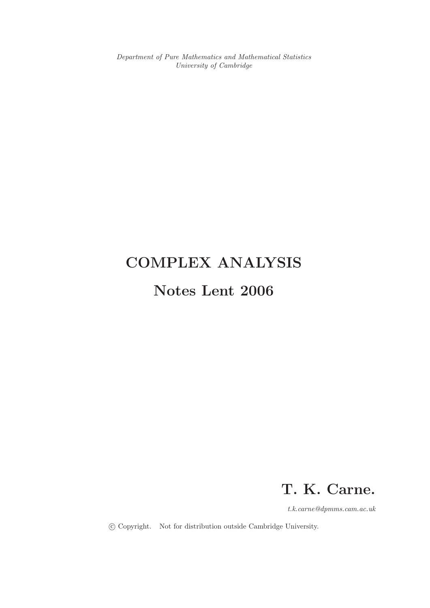Department of Pure Mathematics and Mathematical Statistics University of Cambridge

# COMPLEX ANALYSIS

## Notes Lent 2006

## T. K. Carne.

t.k.carne@dpmms.cam.ac.uk

c Copyright. Not for distribution outside Cambridge University.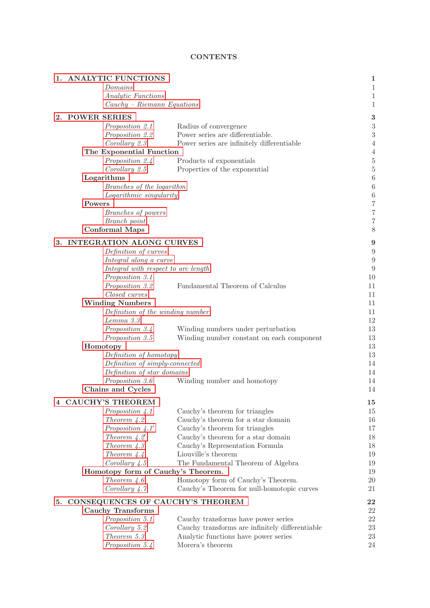## **CONTENTS**

<span id="page-1-0"></span>

| 1. ANALYTIC FUNCTIONS               |                                                 | $\mathbf{1}$                         |
|-------------------------------------|-------------------------------------------------|--------------------------------------|
| Domains                             |                                                 | $\mathbf 1$                          |
| Analytic Functions                  |                                                 | $\mathbf 1$                          |
| $Cauchy-Riemann Equations$          |                                                 | $\mathbf 1$                          |
| 2. POWER SERIES                     |                                                 | 3                                    |
| Proposition 2.1                     | Radius of convergence                           | $\boldsymbol{3}$                     |
| Proposition 2.2                     | Power series are differentiable.                | 3                                    |
| Corollary 2.3                       | Power series are infinitely differentiable      | $\overline{4}$                       |
| The Exponential Function            |                                                 | $\overline{4}$                       |
| Proposition 2.4                     | Products of exponentials                        | $\bf 5$                              |
| Corollary 2.5                       | Properties of the exponential                   | $\overline{5}$                       |
| Logarithms                          |                                                 | $\boldsymbol{6}$                     |
| Branches of the logarithm           |                                                 |                                      |
| Logarithmic singularity             |                                                 | $\boldsymbol{6}$<br>$\boldsymbol{6}$ |
| Powers                              |                                                 | $\overline{7}$                       |
| Branches of powers                  |                                                 | $\overline{7}$                       |
| Branch point                        |                                                 | 7                                    |
| <b>Conformal Maps</b>               |                                                 | 8                                    |
|                                     |                                                 |                                      |
| 3. INTEGRATION ALONG CURVES         |                                                 | $\boldsymbol{9}$                     |
| Definition of curves                |                                                 | $\overline{9}$                       |
| Integral along a curve              |                                                 | 9                                    |
| Integral with respect to arc length |                                                 | $\overline{9}$                       |
| Proposition 3.1                     |                                                 | 10                                   |
| Proposition 3.2                     | Fundamental Theorem of Calculus                 | 11                                   |
| Closed curves                       |                                                 | 11                                   |
| <b>Winding Numbers</b>              |                                                 | 11                                   |
| Definition of the winding number    |                                                 | 11                                   |
| Lemma 3.3                           |                                                 | 12                                   |
| Proposition 3.4                     | Winding numbers under perturbation              | 13                                   |
| Proposition 3.5                     | Winding number constant on each component       | 13<br>13                             |
| Homotopy                            |                                                 |                                      |
| Definition of homotopy              |                                                 | 13                                   |
| Definition of simply-connected      |                                                 | 14                                   |
| Definition of star domains          |                                                 | 14                                   |
| Proposition 3.6                     | Winding number and homotopy                     | 14                                   |
| Chains and Cycles                   |                                                 | 14                                   |
| 4 CAUCHY'S THEOREM                  |                                                 | 15                                   |
| Proposition 4.1                     | Cauchy's theorem for triangles                  | 15                                   |
| Theorem $4.2$                       | Cauchy's theorem for a star domain              | 16                                   |
| Proposition $4.1'$                  | Cauchy's theorem for triangles                  | 17                                   |
| Theorem $4.2'$                      | Cauchy's theorem for a star domain              | 18                                   |
| Theorem $4.3$                       | Cauchy's Representation Formula                 | 18                                   |
| Theorem $4.4$                       | Liouville's theorem                             | 19                                   |
| Corollary $4.5$                     | The Fundamental Theorem of Algebra              | 19                                   |
| Homotopy form of Cauchy's Theorem.  |                                                 | 19                                   |
| Theorem $4.6$                       | Homotopy form of Cauchy's Theorem.              | 20                                   |
| Corollary $4.7$                     | Cauchy's Theorem for null-homotopic curves      | 21                                   |
|                                     |                                                 |                                      |
| 5. CONSEQUENCES OF CAUCHY'S THEOREM |                                                 | 22                                   |
| <b>Cauchy Transforms</b>            |                                                 | 22                                   |
| Proposition 5.1                     | Cauchy transforms have power series             | 22                                   |
| Corollary 5.2                       | Cauchy transforms are infinitely differentiable | 23                                   |
| Theorem 5.3                         | Analytic functions have power series            | 23                                   |
| Proposition 5.4                     | Morera's theorem                                | 24                                   |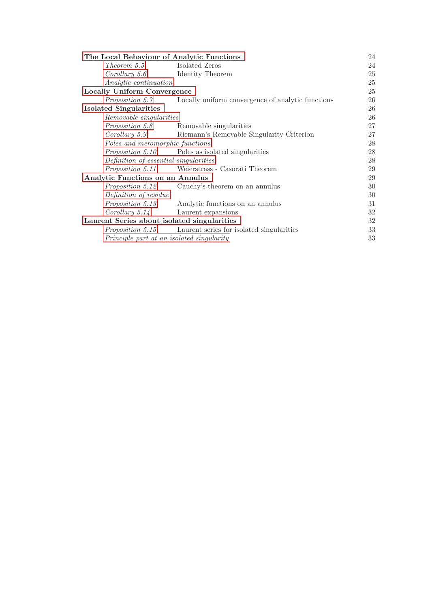| The Local Behaviour of Analytic Functions   |                                                                             |    |  |
|---------------------------------------------|-----------------------------------------------------------------------------|----|--|
| Theorem 5.5                                 | Isolated Zeros                                                              | 24 |  |
| Corollary 5.6                               | Identity Theorem                                                            | 25 |  |
| Analytic continuation                       |                                                                             | 25 |  |
| Locally Uniform Convergence                 |                                                                             |    |  |
|                                             | <i>Proposition 5.7</i> •• Locally uniform convergence of analytic functions | 26 |  |
| <b>Isolated Singularities</b>               |                                                                             |    |  |
| Removable singularities                     |                                                                             | 26 |  |
|                                             | <i>Proposition 5.8</i> Removable singularities                              | 27 |  |
| Corollary 5.9                               | Riemann's Removable Singularity Criterion                                   | 27 |  |
| Poles and meromorphic functions             |                                                                             |    |  |
|                                             | <i>Proposition 5.10</i> Poles as isolated singularities                     | 28 |  |
| Definition of essential singularities       |                                                                             | 28 |  |
|                                             | <i>Proposition 5.11</i> Weierstrass - Casorati Theorem                      | 29 |  |
| Analytic Functions on an Annulus            |                                                                             |    |  |
|                                             | <i>Proposition 5.12</i> Cauchy's theorem on an annulus                      | 30 |  |
| Definition of residue                       |                                                                             | 30 |  |
|                                             | <i>Proposition 5.13</i> Analytic functions on an annulus                    | 31 |  |
|                                             | Corollary 5.14 Laurent expansions                                           | 32 |  |
| Laurent Series about isolated singularities |                                                                             |    |  |
|                                             | <i>Proposition 5.15</i> Laurent series for isolated singularities           | 33 |  |
| Principle part at an isolated singularity   |                                                                             |    |  |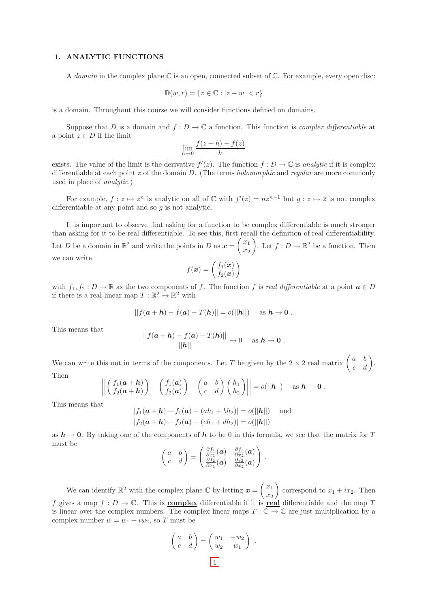## <span id="page-3-1"></span><span id="page-3-0"></span>1. ANALYTIC FUNCTIONS

A domain in the complex plane  $\mathbb C$  is an open, connected subset of  $\mathbb C$ . For example, every open disc:

$$
\mathbb{D}(w,r) = \{ z \in \mathbb{C} : |z - w| < r \}
$$

<span id="page-3-2"></span>is a domain. Throughout this course we will consider functions defined on domains.

Suppose that D is a domain and  $f: D \to \mathbb{C}$  a function. This function is *complex differentiable* at a point  $z \in D$  if the limit

$$
\lim_{h \to 0} \frac{f(z+h) - f(z)}{h}
$$

exists. The value of the limit is the derivative  $f'(z)$ . The function  $f: D \to \mathbb{C}$  is analytic if it is complex differentiable at each point  $z$  of the domain  $D$ . (The terms *holomorphic* and *regular* are more commonly used in place of analytic.)

For example,  $f: z \mapsto z^n$  is analytic on all of  $\mathbb C$  with  $f'(z) = nz^{n-1}$  but  $g: z \mapsto \overline{z}$  is not complex differentiable at any point and so  $g$  is not analytic.

It is important to observe that asking for a function to be complex differentiable is much stronger than asking for it to be real differentiable. To see this, first recall the definition of real differentiability. Let D be a domain in  $\mathbb{R}^2$  and write the points in D as  $\boldsymbol{x} = \begin{pmatrix} x_1 \\ x_2 \end{pmatrix}$  $\overline{x_2}$ ). Let  $f: D \to \mathbb{R}^2$  be a function. Then we can write

$$
f(\boldsymbol{x}) = \begin{pmatrix} f_1(\boldsymbol{x}) \\ f_2(\boldsymbol{x}) \end{pmatrix}
$$

with  $f_1, f_2 : D \to \mathbb{R}$  as the two components of f. The function f is real differentiable at a point  $a \in D$ if there is a real linear map  $T: \mathbb{R}^2 \to \mathbb{R}^2$  with

$$
||f(a+h) - f(a) - T(h)|| = o(||h||)
$$
 as  $h \to 0$ .

This means that

$$
\frac{||f(a+h)-f(a)-T(h)||}{||h||} \to 0 \quad \text{as } h \to 0.
$$

We can write this out in terms of the components. Let T be given by the  $2 \times 2$  real matrix  $\begin{pmatrix} a & b \\ c & d \end{pmatrix}$ . Then

$$
\left\| \begin{pmatrix} f_1(a+h) \\ f_2(a+h) \end{pmatrix} - \begin{pmatrix} f_1(a) \\ f_2(a) \end{pmatrix} - \begin{pmatrix} a & b \\ c & d \end{pmatrix} \begin{pmatrix} h_1 \\ h_2 \end{pmatrix} \right\| = o(||h||) \text{ as } h \to 0.
$$

This means that

$$
|f_1(a+h) - f_1(a) - (ah_1 + bh_2)| = o(||h||) \text{ and}
$$
  

$$
|f_2(a+h) - f_2(a) - (ch_1 + dh_2)| = o(||h||)
$$

as  $h \to 0$ . By taking one of the components of h to be 0 in this formula, we see that the matrix for T must be

$$
\begin{pmatrix} a & b \ c & d \end{pmatrix} = \begin{pmatrix} \frac{\partial f_1}{\partial x_1}(a) & \frac{\partial f_1}{\partial x_2}(a) \\ \frac{\partial f_2}{\partial x_1}(a) & \frac{\partial f_2}{\partial x_2}(a) \end{pmatrix}
$$

.

<span id="page-3-3"></span>We can identify  $\mathbb{R}^2$  with the complex plane C by letting  $\boldsymbol{x} = \begin{pmatrix} x_1 \\ x_2 \end{pmatrix}$  $\overline{x_2}$ correspond to  $x_1 + ix_2$ . Then f gives a map  $f: D \to \mathbb{C}$ . This is **complex** differentiable if it is real differentiable and the map T is linear over the complex numbers. The complex linear maps  $T : \mathbb{C} \to \mathbb{C}$  are just multiplication by a complex number  $w = w_1 + iw_2$ , so T must be

$$
\begin{pmatrix} a & b \\ c & d \end{pmatrix} = \begin{pmatrix} w_1 & -w_2 \\ w_2 & w_1 \end{pmatrix} .
$$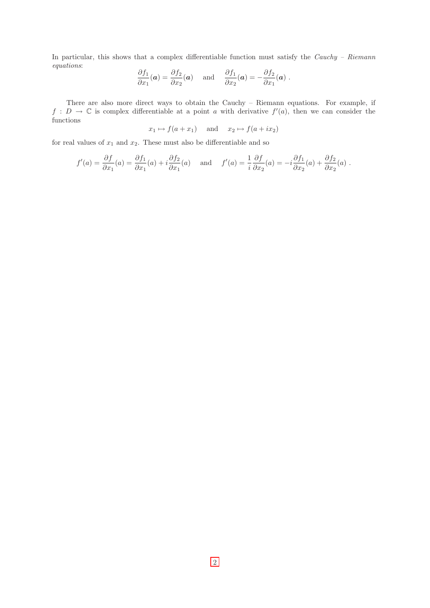In particular, this shows that a complex differentiable function must satisfy the Cauchy - Riemann equations:

$$
\frac{\partial f_1}{\partial x_1}(\boldsymbol{a}) = \frac{\partial f_2}{\partial x_2}(\boldsymbol{a}) \quad \text{and} \quad \frac{\partial f_1}{\partial x_2}(\boldsymbol{a}) = -\frac{\partial f_2}{\partial x_1}(\boldsymbol{a}) \ .
$$

There are also more direct ways to obtain the Cauchy – Riemann equations. For example, if  $f: D \to \mathbb{C}$  is complex differentiable at a point a with derivative  $f'(a)$ , then we can consider the functions

$$
x_1 \mapsto f(a+x_1)
$$
 and  $x_2 \mapsto f(a+ix_2)$ 

for real values of  $x_1$  and  $x_2$ . These must also be differentiable and so

$$
f'(a) = \frac{\partial f}{\partial x_1}(a) = \frac{\partial f_1}{\partial x_1}(a) + i \frac{\partial f_2}{\partial x_1}(a) \quad \text{and} \quad f'(a) = \frac{1}{i} \frac{\partial f}{\partial x_2}(a) = -i \frac{\partial f_1}{\partial x_2}(a) + \frac{\partial f_2}{\partial x_2}(a) .
$$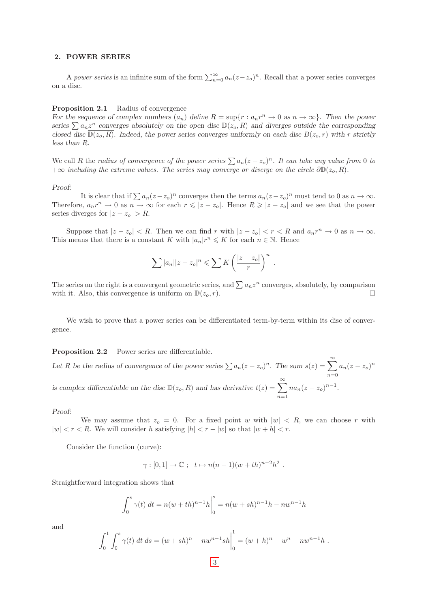## <span id="page-5-0"></span>2. POWER SERIES

<span id="page-5-1"></span>A power series is an infinite sum of the form  $\sum_{n=0}^{\infty} a_n(z-z_o)^n$ . Recall that a power series converges on a disc.

## **Proposition 2.1** Radius of convergence

For the sequence of complex numbers  $(a_n)$  define  $R = \sup\{r : a_n r^n \to 0 \text{ as } n \to \infty\}$ . Then the power series  $\sum a_n z^n$  converges absolutely on the open disc  $\mathbb{D}(z_o, R)$  and diverges outside the corresponding closed disc  $\overline{\mathbb{D}(z_o, R)}$ . Indeed, the power series converges uniformly on each disc  $B(z_o, r)$  with r strictly less than R.

We call R the radius of convergence of the power series  $\sum a_n(z-z_0)^n$ . It can take any value from 0 to  $+\infty$  including the extreme values. The series may converge or diverge on the circle  $\partial \mathbb{D}(z_o, R)$ .

#### Proof:

It is clear that if  $\sum a_n(z-z_0)^n$  converges then the terms  $a_n(z-z_0)^n$  must tend to 0 as  $n \to \infty$ . Therefore,  $a_n r^n \to 0$  as  $n \to \infty$  for each  $r \leqslant |z - z_o|$ . Hence  $R \geqslant |z - z_o|$  and we see that the power series diverges for  $|z - z_o| > R$ .

Suppose that  $|z - z_0| < R$ . Then we can find r with  $|z - z_0| < r < R$  and  $a_n r^n \to 0$  as  $n \to \infty$ . This means that there is a constant K with  $|a_n|r^n \leq K$  for each  $n \in \mathbb{N}$ . Hence

$$
\sum |a_n||z-z_o|^n \leqslant \sum K\left(\frac{|z-z_o|}{r}\right)^n.
$$

The series on the right is a convergent geometric series, and  $\sum a_n z^n$  converges, absolutely, by comparison with it. Also, this convergence is uniform on  $\mathbb{D}(z_o, r)$ .

We wish to prove that a power series can be differentiated term-by-term within its disc of convergence.

<span id="page-5-2"></span>Proposition 2.2 Power series are differentiable.

Let R be the radius of convergence of the power series  $\sum a_n(z-z_o)^n$ . The sum  $s(z) = \sum_{n=0}^{\infty}$  $n=0$  $a_n(z-z_o)^n$ is complex differentiable on the disc  $\mathbb{D}(z_o, R)$  and has derivative  $t(z) = \sum_{n=0}^{\infty}$  $n=1$  $na_n(z-z_o)^{n-1}.$ 

Proof:

We may assume that  $z_0 = 0$ . For a fixed point w with  $|w| \le R$ , we can choose r with  $|w| < r < R$ . We will consider h satisfying  $|h| < r - |w|$  so that  $|w + h| < r$ .

Consider the function (curve):

$$
\gamma : [0,1] \to \mathbb{C} \; ; \; t \mapsto n(n-1)(w+th)^{n-2}h^2 \; .
$$

Straightforward integration shows that

$$
\int_0^s \gamma(t) dt = n(w + th)^{n-1} h \Big|_0^s = n(w + sh)^{n-1} h - n w^{n-1} h
$$

and

$$
\int_0^1 \int_0^s \gamma(t) dt ds = (w + sh)^n - nw^{n-1}sh\Big|_0^1 = (w + h)^n - w^n - nw^{n-1}h.
$$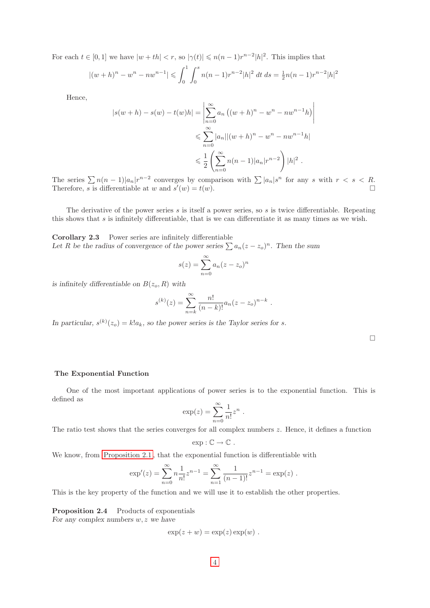For each  $t \in [0,1]$  we have  $|w + th| < r$ , so  $|\gamma(t)| \leqslant n(n-1)r^{n-2}|h|^2$ . This implies that

$$
|(w+h)^n - w^n - nw^{n-1}| \leq \int_0^1 \int_0^s n(n-1)r^{n-2}|h|^2 dt ds = \frac{1}{2}n(n-1)r^{n-2}|h|^2
$$

Hence,

$$
|s(w+h) - s(w) - t(w)h| = \left| \sum_{n=0}^{\infty} a_n \left( (w+h)^n - w^n - nw^{n-1}h \right) \right|
$$
  

$$
\leqslant \sum_{n=0}^{\infty} |a_n| |(w+h)^n - w^n - nw^{n-1}h|
$$
  

$$
\leqslant \frac{1}{2} \left( \sum_{n=0}^{\infty} n(n-1) |a_n| r^{n-2} \right) |h|^2.
$$

The series  $\sum n(n-1)|a_n|r^{n-2}$  converges by comparison with  $\sum |a_n|s^n$  for any s with  $r < s < R$ . Therefore, s is differentiable at w and  $s'(w) = t(w)$ .

The derivative of the power series  $s$  is itself a power series, so  $s$  is twice differentiable. Repeating this shows that s is infinitely differentiable, that is we can differentiate it as many times as we wish.

<span id="page-6-0"></span>Corollary 2.3 Power series are infinitely differentiable Let R be the radius of convergence of the power series  $\sum a_n(z-z_0)^n$ . Then the sum

$$
s(z) = \sum_{n=0}^{\infty} a_n (z - z_o)^n
$$

is infinitely differentiable on  $B(z_o, R)$  with

$$
s^{(k)}(z) = \sum_{n=k}^{\infty} \frac{n!}{(n-k)!} a_n (z - z_o)^{n-k} .
$$

In particular,  $s^{(k)}(z_o) = k!a_k$ , so the power series is the Taylor series for s.

 $\Box$ 

 $\bigg\}$  $\overline{\phantom{a}}$  $\mid$ 

## <span id="page-6-1"></span>The Exponential Function

One of the most important applications of power series is to the exponential function. This is defined as

$$
\exp(z) = \sum_{n=0}^{\infty} \frac{1}{n!} z^n .
$$

The ratio test shows that the series converges for all complex numbers  $z$ . Hence, it defines a function

$$
\exp:\mathbb{C}\to\mathbb{C}.
$$

We know, from [Proposition 2.1 ,](#page-5-1) that the exponential function is differentiable with

$$
\exp'(z) = \sum_{n=0}^{\infty} n \frac{1}{n!} z^{n-1} = \sum_{n=1}^{\infty} \frac{1}{(n-1)!} z^{n-1} = \exp(z) .
$$

<span id="page-6-2"></span>This is the key property of the function and we will use it to establish the other properties.

Proposition 2.4 Products of exponentials For any complex numbers  $w, z$  we have

$$
\exp(z+w) = \exp(z) \exp(w) .
$$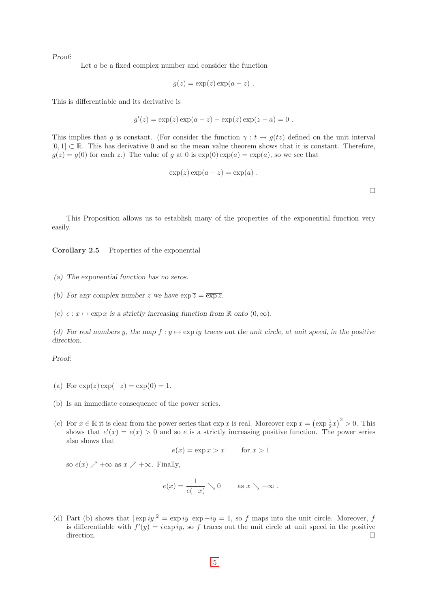Let a be a fixed complex number and consider the function

$$
g(z) = \exp(z) \exp(a - z) .
$$

This is differentiable and its derivative is

$$
g'(z) = \exp(z) \exp(a - z) - \exp(z) \exp(z - a) = 0
$$
.

This implies that g is constant. (For consider the function  $\gamma : t \mapsto g(tz)$  defined on the unit interval  $[0, 1] \subset \mathbb{R}$ . This has derivative 0 and so the mean value theorem shows that it is constant. Therefore,  $g(z) = g(0)$  for each z.) The value of g at 0 is  $\exp(0) \exp(a) = \exp(a)$ , so we see that

$$
\exp(z)\exp(a-z)=\exp(a).
$$

 $\Box$ 

<span id="page-7-0"></span>This Proposition allows us to establish many of the properties of the exponential function very easily.

Corollary 2.5 Properties of the exponential

- (a) The exponential function has no zeros.
- (b) For any complex number z we have  $\exp \overline{z} = \overline{\exp z}$ .
- (c)  $e : x \mapsto \exp x$  is a strictly increasing function from R onto  $(0, \infty)$ .

(d) For real numbers y, the map  $f : y \mapsto \exp(iy)$  traces out the unit circle, at unit speed, in the positive direction.

Proof:

- (a) For  $\exp(z) \exp(-z) = \exp(0) = 1$ .
- (b) Is an immediate consequence of the power series.
- (c) For  $x \in \mathbb{R}$  it is clear from the power series that  $\exp x$  is real. Moreover  $\exp x = (\exp \frac{1}{2}x)^2 > 0$ . This shows that  $e'(x) = e(x) > 0$  and so e is a strictly increasing positive function. The power series also shows that

$$
e(x) = \exp x > x \quad \text{for } x > 1
$$

so  $e(x) \nearrow +\infty$  as  $x \nearrow +\infty$ . Finally,

$$
e(x) = \frac{1}{e(-x)} \searrow 0 \quad \text{as } x \searrow -\infty .
$$

(d) Part (b) shows that  $|\exp i y|^2 = \exp i y \exp -i y = 1$ , so f maps into the unit circle. Moreover, f is differentiable with  $f'(y) = i \exp i y$ , so f traces out the unit circle at unit speed in the positive direction.  $\Box$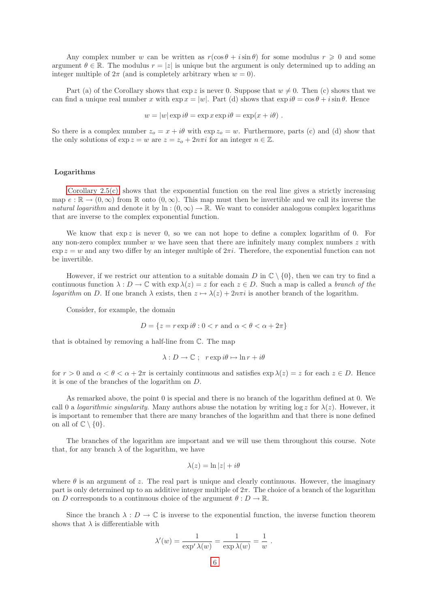Any complex number w can be written as  $r(\cos \theta + i \sin \theta)$  for some modulus  $r \geq 0$  and some argument  $\theta \in \mathbb{R}$ . The modulus  $r = |z|$  is unique but the argument is only determined up to adding an integer multiple of  $2\pi$  (and is completely arbitrary when  $w = 0$ ).

Part (a) of the Corollary shows that  $\exp z$  is never 0. Suppose that  $w \neq 0$ . Then (c) shows that we can find a unique real number x with  $\exp x = |w|$ . Part (d) shows that  $\exp i\theta = \cos \theta + i \sin \theta$ . Hence

$$
w = |w| \exp i\theta = \exp x \exp i\theta = \exp(x + i\theta).
$$

So there is a complex number  $z_0 = x + i\theta$  with  $\exp z_0 = w$ . Furthermore, parts (c) and (d) show that the only solutions of  $\exp z = w$  are  $z = z_0 + 2n\pi i$  for an integer  $n \in \mathbb{Z}$ .

## <span id="page-8-0"></span>Logarithms

[Corollary 2.5\(c\)](#page-7-0) shows that the exponential function on the real line gives a strictly increasing map  $e : \mathbb{R} \to (0,\infty)$  from  $\mathbb R$  onto  $(0,\infty)$ . This map must then be invertible and we call its inverse the natural logarithm and denote it by ln :  $(0, \infty) \to \mathbb{R}$ . We want to consider analogous complex logarithms that are inverse to the complex exponential function.

We know that  $\exp z$  is never 0, so we can not hope to define a complex logarithm of 0. For any non-zero complex number  $w$  we have seen that there are infinitely many complex numbers  $z$  with  $\exp z = w$  and any two differ by an integer multiple of  $2\pi i$ . Therefore, the exponential function can not be invertible.

<span id="page-8-1"></span>However, if we restrict our attention to a suitable domain D in  $\mathbb{C} \setminus \{0\}$ , then we can try to find a continuous function  $\lambda : D \to \mathbb{C}$  with  $\exp \lambda(z) = z$  for each  $z \in D$ . Such a map is called a *branch of the* logarithm on D. If one branch  $\lambda$  exists, then  $z \mapsto \lambda(z) + 2n\pi i$  is another branch of the logarithm.

Consider, for example, the domain

$$
D = \{ z = r \exp i\theta : 0 < r \text{ and } \alpha < \theta < \alpha + 2\pi \}
$$

that is obtained by removing a half-line from C. The map

$$
\lambda: D \to \mathbb{C} \; ; \; r \exp i\theta \mapsto \ln r + i\theta
$$

for  $r > 0$  and  $\alpha < \theta < \alpha + 2\pi$  is certainly continuous and satisfies  $\exp \lambda(z) = z$  for each  $z \in D$ . Hence it is one of the branches of the logarithm on D.

<span id="page-8-2"></span>As remarked above, the point 0 is special and there is no branch of the logarithm defined at 0. We call 0 a *logarithmic singularity*. Many authors abuse the notation by writing  $\log z$  for  $\lambda(z)$ . However, it is important to remember that there are many branches of the logarithm and that there is none defined on all of  $\mathbb{C} \setminus \{0\}.$ 

The branches of the logarithm are important and we will use them throughout this course. Note that, for any branch  $\lambda$  of the logarithm, we have

$$
\lambda(z) = \ln|z| + i\theta
$$

where  $\theta$  is an argument of z. The real part is unique and clearly continuous. However, the imaginary part is only determined up to an additive integer multiple of  $2\pi$ . The choice of a branch of the logarithm on D corresponds to a continuous choice of the argument  $\theta : D \to \mathbb{R}$ .

Since the branch  $\lambda : D \to \mathbb{C}$  is inverse to the exponential function, the inverse function theorem shows that  $\lambda$  is differentiable with

$$
\lambda'(w) = \frac{1}{\exp^{\prime} \lambda(w)} = \frac{1}{\exp \lambda(w)} = \frac{1}{w}.
$$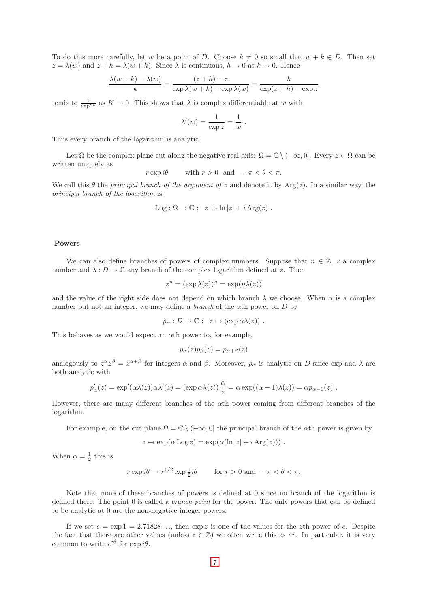To do this more carefully, let w be a point of D. Choose  $k \neq 0$  so small that  $w + k \in D$ . Then set  $z = \lambda(w)$  and  $z + h = \lambda(w + k)$ . Since  $\lambda$  is continuous,  $h \to 0$  as  $k \to 0$ . Hence

$$
\frac{\lambda(w+k) - \lambda(w)}{k} = \frac{(z+h) - z}{\exp \lambda(w+k) - \exp \lambda(w)} = \frac{h}{\exp(z+h) - \exp z}
$$

tends to  $\frac{1}{\exp(z)}$  as  $K \to 0$ . This shows that  $\lambda$  is complex differentiable at w with

$$
\lambda'(w) = \frac{1}{\exp z} = \frac{1}{w} .
$$

Thus every branch of the logarithm is analytic.

Let  $\Omega$  be the complex plane cut along the negative real axis:  $\Omega = \mathbb{C} \setminus (-\infty, 0]$ . Every  $z \in \Omega$  can be written uniquely as

$$
r \exp i\theta
$$
 with  $r > 0$  and  $-\pi < \theta < \pi$ .

We call this  $\theta$  the principal branch of the argument of z and denote it by Arg(z). In a similar way, the principal branch of the logarithm is:

$$
Log: \Omega \to \mathbb{C} \; ; \; z \mapsto \ln |z| + i Arg(z) \; .
$$

#### <span id="page-9-1"></span><span id="page-9-0"></span>Powers

We can also define branches of powers of complex numbers. Suppose that  $n \in \mathbb{Z}$ , z a complex number and  $\lambda : D \to \mathbb{C}$  any branch of the complex logarithm defined at z. Then

$$
z^n = (\exp \lambda(z))^n = \exp(n\lambda(z))
$$

and the value of the right side does not depend on which branch  $\lambda$  we choose. When  $\alpha$  is a complex number but not an integer, we may define a *branch* of the  $\alpha$ th power on D by

$$
p_{\alpha}: D \to \mathbb{C} \; ; \; z \mapsto (\exp \alpha \lambda(z)) \; .
$$

This behaves as we would expect an  $\alpha$ th power to, for example,

$$
p_{\alpha}(z)p_{\beta}(z) = p_{\alpha+\beta}(z)
$$

analogously to  $z^{\alpha}z^{\beta} = z^{\alpha+\beta}$  for integers  $\alpha$  and  $\beta$ . Moreover,  $p_{\alpha}$  is analytic on D since exp and  $\lambda$  are both analytic with

$$
p'_{\alpha}(z) = \exp'(\alpha \lambda(z))\alpha \lambda'(z) = (\exp \alpha \lambda(z)) \frac{\alpha}{z} = \alpha \exp((\alpha - 1)\lambda(z)) = \alpha p_{\alpha - 1}(z) .
$$

However, there are many different branches of the αth power coming from different branches of the logarithm.

For example, on the cut plane  $\Omega = \mathbb{C} \setminus (-\infty, 0]$  the principal branch of the  $\alpha$ th power is given by

$$
z \mapsto \exp(\alpha \operatorname{Log} z) = \exp(\alpha (\ln |z| + i \operatorname{Arg}(z))) .
$$

When  $\alpha = \frac{1}{2}$  this is

$$
r \exp i\theta \mapsto r^{1/2} \exp \frac{1}{2}i\theta
$$
 for  $r > 0$  and  $-\pi < \theta < \pi$ .

<span id="page-9-2"></span>Note that none of these branches of powers is defined at 0 since no branch of the logarithm is defined there. The point 0 is called a *branch point* for the power. The only powers that can be defined to be analytic at 0 are the non-negative integer powers.

If we set  $e = \exp 1 = 2.71828...$ , then  $\exp z$  is one of the values for the zth power of e. Despite the fact that there are other values (unless  $z \in \mathbb{Z}$ ) we often write this as  $e^z$ . In particular, it is very common to write  $e^{i\theta}$  for  $\exp i\theta$ .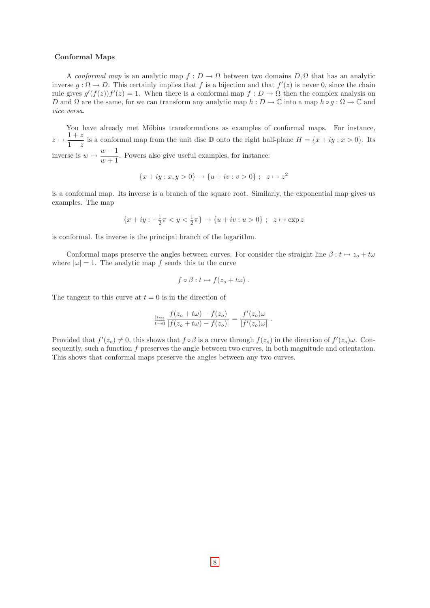## <span id="page-10-0"></span>Conformal Maps

A conformal map is an analytic map  $f: D \to \Omega$  between two domains  $D, \Omega$  that has an analytic inverse  $g : \Omega \to D$ . This certainly implies that f is a bijection and that  $f'(z)$  is never 0, since the chain rule gives  $g'(f(z))f'(z) = 1$ . When there is a conformal map  $f: D \to \Omega$  then the complex analysis on D and  $\Omega$  are the same, for we can transform any analytic map  $h: D \to \mathbb{C}$  into a map  $h \circ g: \Omega \to \mathbb{C}$  and vice versa.

You have already met Möbius transformations as examples of conformal maps. For instance,  $z \mapsto \frac{1+z}{1-z}$  $\frac{1+z}{1-z}$  is a conformal map from the unit disc D onto the right half-plane  $H = \{x+iy : x > 0\}$ . Its inverse is  $w \mapsto \frac{w-1}{1}$  $\frac{w}{w+1}$ . Powers also give useful examples, for instance:

$$
\{x+iy : x, y > 0\} \to \{u+iv : v > 0\} ; z \mapsto z^2
$$

is a conformal map. Its inverse is a branch of the square root. Similarly, the exponential map gives us examples. The map

$$
\{x+iy: -\frac{1}{2}\pi < y < \frac{1}{2}\pi\} \to \{u+iv: u > 0\} \ ; \ \ z \mapsto \exp z
$$

is conformal. Its inverse is the principal branch of the logarithm.

Conformal maps preserve the angles between curves. For consider the straight line  $\beta : t \mapsto z_o + t\omega$ where  $|\omega| = 1$ . The analytic map f sends this to the curve

$$
f\circ\beta: t\mapsto f(z_o+t\omega) .
$$

The tangent to this curve at  $t = 0$  is in the direction of

$$
\lim_{t \to 0} \frac{f(z_o + t\omega) - f(z_o)}{|f(z_o + t\omega) - f(z_o)|} = \frac{f'(z_o)\omega}{|f'(z_o)\omega|}.
$$

Provided that  $f'(z_0) \neq 0$ , this shows that  $f \circ \beta$  is a curve through  $f(z_0)$  in the direction of  $f'(z_0)\omega$ . Consequently, such a function  $f$  preserves the angle between two curves, in both magnitude and orientation. This shows that conformal maps preserve the angles between any two curves.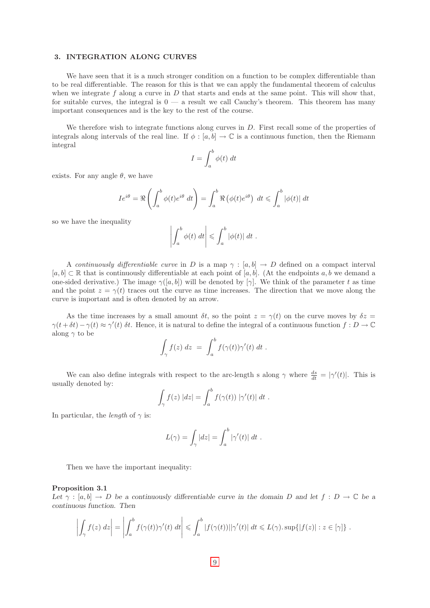## <span id="page-11-0"></span>3. INTEGRATION ALONG CURVES

We have seen that it is a much stronger condition on a function to be complex differentiable than to be real differentiable. The reason for this is that we can apply the fundamental theorem of calculus when we integrate f along a curve in  $D$  that starts and ends at the same point. This will show that, for suitable curves, the integral is  $0 - a$  result we call Cauchy's theorem. This theorem has many important consequences and is the key to the rest of the course.

We therefore wish to integrate functions along curves in  $D$ . First recall some of the properties of integrals along intervals of the real line. If  $\phi : [a, b] \to \mathbb{C}$  is a continuous function, then the Riemann integral

$$
I = \int_{a}^{b} \phi(t) \, dt
$$

exists. For any angle  $\theta$ , we have

$$
Ie^{i\theta} = \Re\left(\int_a^b \phi(t)e^{i\theta} dt\right) = \int_a^b \Re\left(\phi(t)e^{i\theta}\right) dt \leq \int_a^b |\phi(t)| dt
$$

so we have the inequality

$$
\left| \int_a^b \phi(t) \ dt \right| \leqslant \int_a^b |\phi(t)| \ dt \ .
$$

<span id="page-11-1"></span>A continuously differentiable curve in D is a map  $\gamma : [a, b] \to D$  defined on a compact interval  $[a, b] \subset \mathbb{R}$  that is continuously differentiable at each point of  $[a, b]$ . (At the endpoints a, b we demand a one-sided derivative.) The image  $\gamma([a, b])$  will be denoted by  $[\gamma]$ . We think of the parameter t as time and the point  $z = \gamma(t)$  traces out the curve as time increases. The direction that we move along the curve is important and is often denoted by an arrow.

<span id="page-11-2"></span>As the time increases by a small amount  $\delta t$ , so the point  $z = \gamma(t)$  on the curve moves by  $\delta z =$  $\gamma(t+\delta t) - \gamma(t) \approx \gamma'(t) \delta t$ . Hence, it is natural to define the integral of a continuous function  $f: D \to \mathbb{C}$ along  $\gamma$  to be

$$
\int_{\gamma} f(z) dz = \int_{a}^{b} f(\gamma(t)) \gamma'(t) dt.
$$

<span id="page-11-3"></span>We can also define integrals with respect to the arc-length s along  $\gamma$  where  $\frac{ds}{dt} = |\gamma'(t)|$ . This is usually denoted by:

$$
\int_{\gamma} f(z) |dz| = \int_{a}^{b} f(\gamma(t)) |\gamma'(t)| dt.
$$

In particular, the *length* of  $\gamma$  is:

<span id="page-11-4"></span>
$$
L(\gamma) = \int_{\gamma} |dz| = \int_{a}^{b} |\gamma'(t)| dt.
$$

Then we have the important inequality:

## Proposition 3.1

Let  $\gamma : [a, b] \to D$  be a continuously differentiable curve in the domain D and let  $f : D \to \mathbb{C}$  be a continuous function. Then

$$
\left|\int_{\gamma} f(z) dz\right| = \left|\int_{a}^{b} f(\gamma(t))\gamma'(t) dt\right| \leq \int_{a}^{b} |f(\gamma(t))||\gamma'(t)| dt \leq L(\gamma). \sup\{|f(z)| : z \in [\gamma]\} .
$$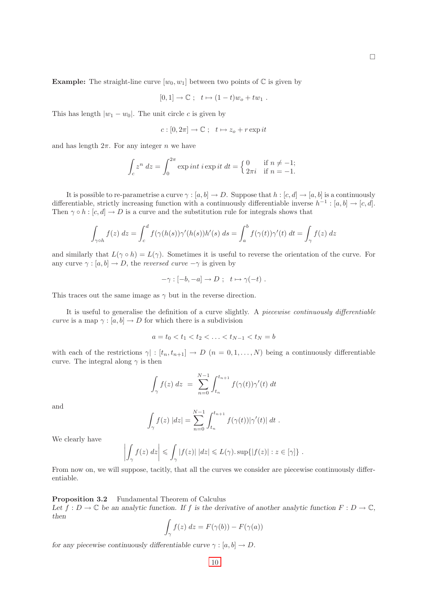**Example:** The straight-line curve  $[w_0, w_1]$  between two points of  $\mathbb C$  is given by

$$
[0,1] \to \mathbb{C} \ ; \ t \mapsto (1-t)w_o + tw_1 \ .
$$

This has length  $|w_1 - w_0|$ . The unit circle c is given by

$$
c:[0,2\pi]\to\mathbb{C} \ ; \ \ t\mapsto z_o+r\exp it
$$

and has length  $2\pi$ . For any integer n we have

$$
\int_c z^n dz = \int_0^{2\pi} \exp\left(i t \right) \exp\left(i t \right) dt = \begin{cases} 0 & \text{if } n \neq -1; \\ 2\pi i & \text{if } n = -1. \end{cases}
$$

It is possible to re-parametrise a curve  $\gamma : [a, b] \to D$ . Suppose that  $h : [c, d] \to [a, b]$  is a continuously differentiable, strictly increasing function with a continuously differentiable inverse  $h^{-1}$ :  $[a, b] \rightarrow [c, d]$ . Then  $\gamma \circ h : [c, d] \to D$  is a curve and the substitution rule for integrals shows that

$$
\int_{\gamma \circ h} f(z) dz = \int_c^d f(\gamma(h(s))\gamma'(h(s))h'(s) ds = \int_a^b f(\gamma(t))\gamma'(t) dt = \int_{\gamma} f(z) dz
$$

and similarly that  $L(\gamma \circ h) = L(\gamma)$ . Sometimes it is useful to reverse the orientation of the curve. For any curve  $\gamma : [a, b] \to D$ , the *reversed curve*  $-\gamma$  is given by

$$
-\gamma : [-b, -a] \to D \; ; \; t \mapsto \gamma(-t) \; .
$$

This traces out the same image as  $\gamma$  but in the reverse direction.

It is useful to generalise the definition of a curve slightly. A piecewise continuously differentiable curve is a map  $\gamma : [a, b] \to D$  for which there is a subdivision

$$
a = t_0 < t_1 < t_2 < \ldots < t_{N-1} < t_N = b
$$

with each of the restrictions  $\gamma | : [t_n, t_{n+1}] \to D$   $(n = 0, 1, ..., N)$  being a continuously differentiable curve. The integral along  $\gamma$  is then

$$
\int_{\gamma} f(z) dz = \sum_{n=0}^{N-1} \int_{t_n}^{t_{n+1}} f(\gamma(t)) \gamma'(t) dt
$$

and

$$
\int_{\gamma} f(z) |dz| = \sum_{n=0}^{N-1} \int_{t_n}^{t_{n+1}} f(\gamma(t)) |\gamma'(t)| dt.
$$

We clearly have

$$
\left| \int_{\gamma} f(z) dz \right| \leq \int_{\gamma} |f(z)| |dz| \leq L(\gamma). \sup\{|f(z)| : z \in [\gamma]\} .
$$

<span id="page-12-0"></span>From now on, we will suppose, tacitly, that all the curves we consider are piecewise continuously differentiable.

Proposition 3.2 Fundamental Theorem of Calculus

Let  $f: D \to \mathbb{C}$  be an analytic function. If f is the derivative of another analytic function  $F: D \to \mathbb{C}$ , then

$$
\int_{\gamma} f(z) dz = F(\gamma(b)) - F(\gamma(a))
$$

for any piecewise continuously differentiable curve  $\gamma : [a, b] \to D$ .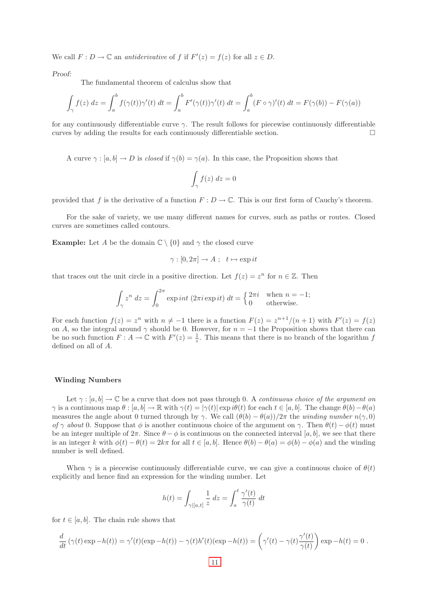We call  $F: D \to \mathbb{C}$  an *antiderivative* of f if  $F'(z) = f(z)$  for all  $z \in D$ .

Proof:

The fundamental theorem of calculus show that

$$
\int_{\gamma} f(z) dz = \int_{a}^{b} f(\gamma(t))\gamma'(t) dt = \int_{a}^{b} F'(\gamma(t))\gamma'(t) dt = \int_{a}^{b} (F \circ \gamma)'(t) dt = F(\gamma(b)) - F(\gamma(a))
$$

for any continuously differentiable curve  $\gamma$ . The result follows for piecewise continuously differentiable curves by adding the results for each continuously differentiable section.

<span id="page-13-0"></span>A curve  $\gamma : [a, b] \to D$  is *closed* if  $\gamma(b) = \gamma(a)$ . In this case, the Proposition shows that

$$
\int_{\gamma} f(z) \ dz = 0
$$

provided that f is the derivative of a function  $F: D \to \mathbb{C}$ . This is our first form of Cauchy's theorem.

For the sake of variety, we use many different names for curves, such as paths or routes. Closed curves are sometimes called contours.

**Example:** Let A be the domain  $\mathbb{C} \setminus \{0\}$  and  $\gamma$  the closed curve

$$
\gamma : [0, 2\pi] \to A \; ; \; t \mapsto \exp it
$$

that traces out the unit circle in a positive direction. Let  $f(z) = z^n$  for  $n \in \mathbb{Z}$ . Then

$$
\int_{\gamma} z^n dz = \int_0^{2\pi} \exp\left(i t \left(2\pi i \exp\left(i t\right)\right) dt = \begin{cases} 2\pi i & \text{when } n = -1; \\ 0 & \text{otherwise.} \end{cases}
$$

For each function  $f(z) = z^n$  with  $n \neq -1$  there is a function  $F(z) = z^{n+1}/(n+1)$  with  $F'(z) = f(z)$ on A, so the integral around  $\gamma$  should be 0. However, for  $n = -1$  the Proposition shows that there can be no such function  $F: A \to \mathbb{C}$  with  $F'(z) = \frac{1}{z}$ . This means that there is no branch of the logarithm f defined on all of A.

## <span id="page-13-2"></span><span id="page-13-1"></span>Winding Numbers

Let  $\gamma : [a, b] \to \mathbb{C}$  be a curve that does not pass through 0. A *continuous choice of the argument on*  $\gamma$  is a continuous map  $\theta : [a, b] \to \mathbb{R}$  with  $\gamma(t) = |\gamma(t)| \exp i\theta(t)$  for each  $t \in [a, b]$ . The change  $\theta(b) - \theta(a)$ measures the angle about 0 turned through by γ. We call  $(\theta(b) - \theta(a))/2\pi$  the winding number  $n(\gamma, 0)$ of γ about 0. Suppose that  $\phi$  is another continuous choice of the argument on γ. Then  $\theta(t) - \phi(t)$  must be an integer multiple of  $2\pi$ . Since  $\theta - \phi$  is continuous on the connected interval [a, b], we see that there is an integer k with  $\phi(t) - \theta(t) = 2k\pi$  for all  $t \in [a, b]$ . Hence  $\theta(b) - \theta(a) = \phi(b) - \phi(a)$  and the winding number is well defined.

When  $\gamma$  is a piecewise continuously differentiable curve, we can give a continuous choice of  $\theta(t)$ explicitly and hence find an expression for the winding number. Let

$$
h(t) = \int_{\gamma|[a,t]} \frac{1}{z} dz = \int_a^t \frac{\gamma'(t)}{\gamma(t)} dt
$$

for  $t \in [a, b]$ . The chain rule shows that

$$
\frac{d}{dt}(\gamma(t)\exp -h(t)) = \gamma'(t)(\exp -h(t)) - \gamma(t)h'(t)(\exp -h(t)) = \left(\gamma'(t) - \gamma(t)\frac{\gamma'(t)}{\gamma(t)}\right)\exp -h(t) = 0.
$$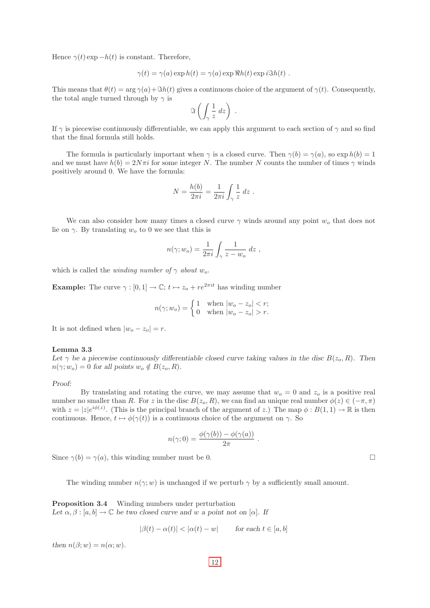Hence  $\gamma(t)$  exp  $-h(t)$  is constant. Therefore,

$$
\gamma(t) = \gamma(a) \exp h(t) = \gamma(a) \exp \Re h(t) \exp i \Im h(t) .
$$

This means that  $\theta(t) = \arg \gamma(a) + \Im h(t)$  gives a continuous choice of the argument of  $\gamma(t)$ . Consequently, the total angle turned through by  $\gamma$  is

$$
\Im\left(\int_{\gamma}\frac{1}{z}\,dz\right)\;.
$$

If  $\gamma$  is piecewise continuously differentiable, we can apply this argument to each section of  $\gamma$  and so find that the final formula still holds.

The formula is particularly important when  $\gamma$  is a closed curve. Then  $\gamma(b) = \gamma(a)$ , so  $\exp h(b) = 1$ and we must have  $h(b) = 2N\pi i$  for some integer N. The number N counts the number of times  $\gamma$  winds positively around 0. We have the formula:

$$
N = \frac{h(b)}{2\pi i} = \frac{1}{2\pi i} \int_{\gamma} \frac{1}{z} dz.
$$

We can also consider how many times a closed curve  $\gamma$  winds around any point  $w<sub>o</sub>$  that does not lie on  $\gamma$ . By translating  $w<sub>o</sub>$  to 0 we see that this is

$$
n(\gamma; w_o) = \frac{1}{2\pi i} \int_{\gamma} \frac{1}{z - w_o} dz ,
$$

which is called the *winding number of*  $\gamma$  *about* w<sub>o</sub>.

**Example:** The curve  $\gamma : [0, 1] \to \mathbb{C}; t \mapsto z_o + re^{2\pi i t}$  has winding number

$$
n(\gamma; w_o) = \begin{cases} 1 & \text{when } |w_o - z_o| < r; \\ 0 & \text{when } |w_o - z_o| > r. \end{cases}
$$

<span id="page-14-0"></span>It is not defined when  $|w_o - z_o| = r$ .

## Lemma 3.3

Let  $\gamma$  be a piecewise continuously differentiable closed curve taking values in the disc  $B(z_0, R)$ . Then  $n(\gamma; w_o) = 0$  for all points  $w_o \notin B(z_o, R)$ .

#### Proof:

By translating and rotating the curve, we may assume that  $w<sub>o</sub> = 0$  and  $z<sub>o</sub>$  is a positive real number no smaller than R. For z in the disc  $B(z_0, R)$ , we can find an unique real number  $\phi(z) \in (-\pi, \pi)$ with  $z = |z|e^{i\phi(z)}$ . (This is the principal branch of the argument of z.) The map  $\phi : B(1,1) \to \mathbb{R}$  is then continuous. Hence,  $t \mapsto \phi(\gamma(t))$  is a continuous choice of the argument on  $\gamma$ . So

$$
n(\gamma; 0) = \frac{\phi(\gamma(b)) - \phi(\gamma(a))}{2\pi}
$$

.

Since  $\gamma(b) = \gamma(a)$ , this winding number must be 0.

The winding number  $n(\gamma; w)$  is unchanged if we perturb  $\gamma$  by a sufficiently small amount.

<span id="page-14-1"></span>Proposition 3.4 Winding numbers under perturbation Let  $\alpha, \beta : [a, b] \to \mathbb{C}$  be two closed curve and w a point not on  $[\alpha]$ . If

$$
|\beta(t) - \alpha(t)| < |\alpha(t) - w| \qquad \text{for each } t \in [a, b]
$$

then  $n(\beta; w) = n(\alpha; w)$ .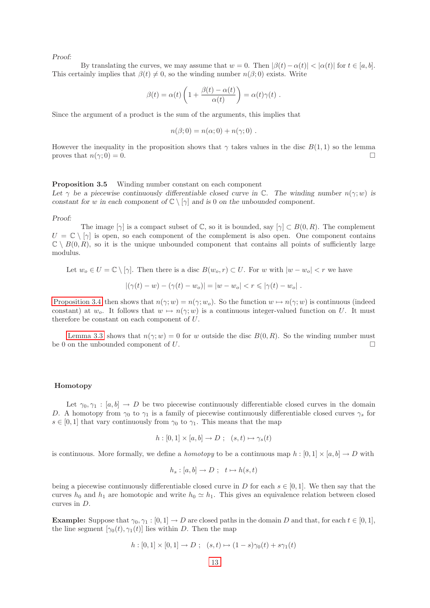By translating the curves, we may assume that  $w = 0$ . Then  $|\beta(t) - \alpha(t)| < |\alpha(t)|$  for  $t \in [a, b]$ . This certainly implies that  $\beta(t) \neq 0$ , so the winding number  $n(\beta; 0)$  exists. Write

$$
\beta(t) = \alpha(t) \left( 1 + \frac{\beta(t) - \alpha(t)}{\alpha(t)} \right) = \alpha(t)\gamma(t) .
$$

Since the argument of a product is the sum of the arguments, this implies that

$$
n(\beta;0) = n(\alpha;0) + n(\gamma;0) .
$$

However the inequality in the proposition shows that  $\gamma$  takes values in the disc  $B(1,1)$  so the lemma proves that  $n(\gamma; 0) = 0$ .

## <span id="page-15-0"></span>Proposition 3.5 Winding number constant on each component

Let  $\gamma$  be a piecewise continuously differentiable closed curve in C. The winding number  $n(\gamma; w)$  is constant for w in each component of  $\mathbb{C} \setminus [\gamma]$  and is 0 on the unbounded component.

#### Proof:

The image  $[\gamma]$  is a compact subset of  $\mathbb{C}$ , so it is bounded, say  $[\gamma] \subset B(0,R)$ . The complement  $U = \mathbb{C} \setminus [\gamma]$  is open, so each component of the complement is also open. One component contains  $\mathbb{C} \setminus B(0,R)$ , so it is the unique unbounded component that contains all points of sufficiently large modulus.

Let  $w_o \in U = \mathbb{C} \setminus [\gamma]$ . Then there is a disc  $B(w_o, r) \subset U$ . For w with  $|w - w_o| < r$  we have

$$
|(\gamma(t) - w) - (\gamma(t) - w_o)| = |w - w_o| < r \le |\gamma(t) - w_o|.
$$

[Proposition 3.4](#page-14-1) then shows that  $n(\gamma; w) = n(\gamma; w_o)$ . So the function  $w \mapsto n(\gamma; w)$  is continuous (indeed constant) at  $w_o$ . It follows that  $w \mapsto n(\gamma; w)$  is a continuous integer-valued function on U. It must therefore be constant on each component of U.

[Lemma 3.3](#page-14-0) shows that  $n(\gamma; w) = 0$  for w outside the disc  $B(0, R)$ . So the winding number must be 0 on the unbounded component of U.

#### <span id="page-15-2"></span><span id="page-15-1"></span>Homotopy

Let  $\gamma_0, \gamma_1 : [a, b] \to D$  be two piecewise continuously differentiable closed curves in the domain D. A homotopy from  $\gamma_0$  to  $\gamma_1$  is a family of piecewise continuously differentiable closed curves  $\gamma_s$  for  $s \in [0,1]$  that vary continuously from  $\gamma_0$  to  $\gamma_1$ . This means that the map

$$
h: [0,1] \times [a,b] \to D; \quad (s,t) \mapsto \gamma_s(t)
$$

is continuous. More formally, we define a *homotopy* to be a continuous map  $h : [0, 1] \times [a, b] \rightarrow D$  with

$$
h_s: [a, b] \to D; \quad t \mapsto h(s, t)
$$

being a piecewise continuously differentiable closed curve in D for each  $s \in [0, 1]$ . We then say that the curves  $h_0$  and  $h_1$  are homotopic and write  $h_0 \simeq h_1$ . This gives an equivalence relation between closed curves in D.

**Example:** Suppose that  $\gamma_0, \gamma_1 : [0, 1] \to D$  are closed paths in the domain D and that, for each  $t \in [0, 1]$ , the line segment  $[\gamma_0(t), \gamma_1(t)]$  lies within D. Then the map

$$
h: [0,1] \times [0,1] \to D; \quad (s,t) \mapsto (1-s)\gamma_0(t) + s\gamma_1(t)
$$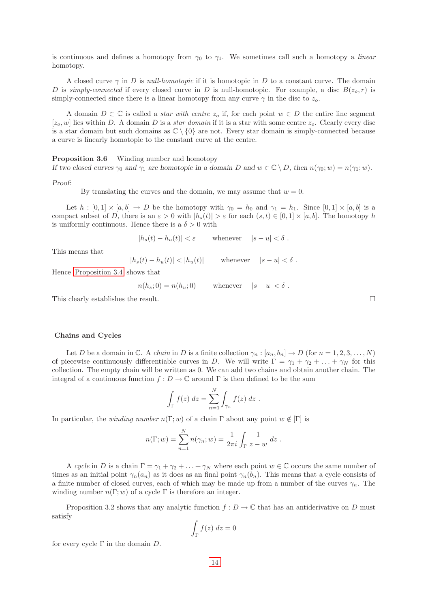is continuous and defines a homotopy from  $\gamma_0$  to  $\gamma_1$ . We sometimes call such a homotopy a *linear* homotopy.

<span id="page-16-0"></span>A closed curve  $\gamma$  in D is null-homotopic if it is homotopic in D to a constant curve. The domain D is simply-connected if every closed curve in D is null-homotopic. For example, a disc  $B(z_0, r)$  is simply-connected since there is a linear homotopy from any curve  $\gamma$  in the disc to  $z_o$ .

<span id="page-16-1"></span>A domain  $D \subset \mathbb{C}$  is called a *star with centre*  $z_o$  if, for each point  $w \in D$  the entire line segment  $[z_0, w]$  lies within D. A domain D is a star domain if it is a star with some centre  $z_0$ . Clearly every disc is a star domain but such domains as  $\mathbb{C} \setminus \{0\}$  are not. Every star domain is simply-connected because a curve is linearly homotopic to the constant curve at the centre.

<span id="page-16-2"></span>Proposition 3.6 Winding number and homotopy

If two closed curves  $\gamma_0$  and  $\gamma_1$  are homotopic in a domain D and  $w \in \mathbb{C} \setminus D$ , then  $n(\gamma_0; w) = n(\gamma_1; w)$ .

Proof:

By translating the curves and the domain, we may assume that  $w = 0$ .

Let  $h : [0,1] \times [a,b] \to D$  be the homotopy with  $\gamma_0 = h_0$  and  $\gamma_1 = h_1$ . Since  $[0,1] \times [a,b]$  is a compact subset of D, there is an  $\varepsilon > 0$  with  $|h_s(t)| > \varepsilon$  for each  $(s, t) \in [0, 1] \times [a, b]$ . The homotopy h is uniformly continuous. Hence there is a  $\delta > 0$  with

 $|h_s(t) - h_u(t)| < \varepsilon$  whenever  $|s - u| < \delta$ .

This means that

 $|h_s(t) - h_u(t)| < |h_u(t)|$  whenever  $|s - u| < \delta$ .

Hence [Proposition 3.4](#page-14-1) shows that

$$
n(h_s; 0) = n(h_u; 0) \quad \text{whenever} \quad |s - u| < \delta \; .
$$

This clearly establishes the result.  $\Box$ 

## <span id="page-16-3"></span>Chains and Cycles

Let D be a domain in C. A chain in D is a finite collection  $\gamma_n : [a_n, b_n] \to D$  (for  $n = 1, 2, 3, ..., N$ ) of piecewise continuously differentiable curves in D. We will write  $\Gamma = \gamma_1 + \gamma_2 + \ldots + \gamma_N$  for this collection. The empty chain will be written as 0. We can add two chains and obtain another chain. The integral of a continuous function  $f: D \to \mathbb{C}$  around  $\Gamma$  is then defined to be the sum

$$
\int_{\Gamma} f(z) dz = \sum_{n=1}^{N} \int_{\gamma_n} f(z) dz.
$$

In particular, the winding number  $n(\Gamma; w)$  of a chain  $\Gamma$  about any point  $w \notin [\Gamma]$  is

$$
n(\Gamma; w) = \sum_{n=1}^{N} n(\gamma_n; w) = \frac{1}{2\pi i} \int_{\Gamma} \frac{1}{z - w} dz.
$$

A cycle in D is a chain  $\Gamma = \gamma_1 + \gamma_2 + \ldots + \gamma_N$  where each point  $w \in \mathbb{C}$  occurs the same number of times as an initial point  $\gamma_n(a_n)$  as it does as an final point  $\gamma_n(b_n)$ . This means that a cycle consists of a finite number of closed curves, each of which may be made up from a number of the curves  $\gamma_n$ . The winding number  $n(\Gamma; w)$  of a cycle  $\Gamma$  is therefore an integer.

Proposition 3.2 shows that any analytic function  $f: D \to \mathbb{C}$  that has an antiderivative on D must satisfy

$$
\int_{\Gamma} f(z) \ dz = 0
$$

for every cycle  $\Gamma$  in the domain  $D$ .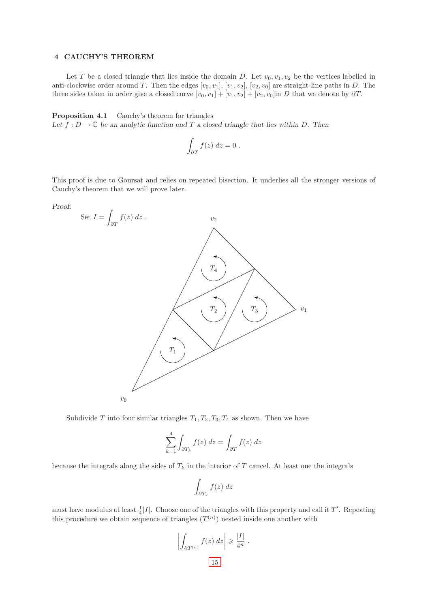## <span id="page-17-0"></span>4 CAUCHY'S THEOREM

Let T be a closed triangle that lies inside the domain D. Let  $v_0, v_1, v_2$  be the vertices labelled in anti-clockwise order around T. Then the edges  $[v_0, v_1], [v_1, v_2], [v_2, v_0]$  are straight-line paths in D. The three sides taken in order give a closed curve  $[v_0, v_1] + [v_1, v_2] + [v_2, v_0]$  in D that we denote by  $\partial T$ .

<span id="page-17-1"></span>Proposition 4.1 Cauchy's theorem for triangles Let  $f: D \to \mathbb{C}$  be an analytic function and T a closed triangle that lies within D. Then

$$
\int_{\partial T} f(z) \ dz = 0 \ .
$$

This proof is due to Goursat and relies on repeated bisection. It underlies all the stronger versions of Cauchy's theorem that we will prove later.

Proof:



Subdivide T into four similar triangles  $T_1, T_2, T_3, T_4$  as shown. Then we have

$$
\sum_{k=1}^{4} \int_{\partial T_k} f(z) dz = \int_{\partial T} f(z) dz
$$

because the integrals along the sides of  $T_k$  in the interior of T cancel. At least one the integrals

$$
\int_{\partial T_k} f(z) \ dz
$$

must have modulus at least  $\frac{1}{4}|I|$ . Choose one of the triangles with this property and call it T'. Repeating this procedure we obtain sequence of triangles  $(T^{(n)})$  nested inside one another with

$$
\left| \int_{\partial T^{(n)}} f(z) dz \right| \geq \frac{|I|}{4^n} .
$$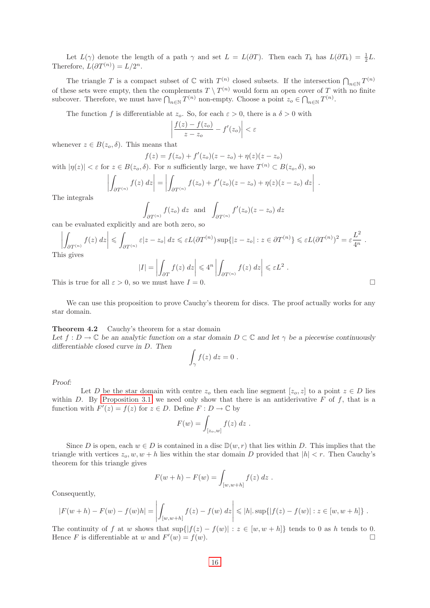Let  $L(\gamma)$  denote the length of a path  $\gamma$  and set  $L = L(\partial T)$ . Then each  $T_k$  has  $L(\partial T_k) = \frac{1}{2}L$ . Therefore,  $L(\partial T^{(n)}) = L/2^n$ .

The triangle T is a compact subset of  $\mathbb C$  with  $T^{(n)}$  closed subsets. If the intersection  $\bigcap_{n\in\mathbb N}T^{(n)}$ of these sets were empty, then the complements  $T \setminus T^{(n)}$  would form an open cover of T with no finite subcover. Therefore, we must have  $\bigcap_{n\in\mathbb{N}}T^{(n)}$  non-empty. Choose a point  $z_o\in\bigcap_{n\in\mathbb{N}}T^{(n)}$ .

The function f is differentiable at  $z_o$ . So, for each  $\varepsilon > 0$ , there is a  $\delta > 0$  with

 $\bigg|$  $\overline{\phantom{a}}$  $\overline{\phantom{a}}$  $\mid$ 

$$
\left|\frac{f(z)-f(z_o)}{z-z_o}-f'(z_o)\right|<\varepsilon
$$

whenever  $z \in B(z_o, \delta)$ . This means that

 $\bigg\}$  $\overline{\phantom{a}}$  $\overline{\phantom{a}}$  $\mid$   $f(z) = f(z_o) + f'(z_o)(z - z_o) + \eta(z)(z - z_o)$ 

with  $|\eta(z)| < \varepsilon$  for  $z \in B(z_0, \delta)$ . For n sufficiently large, we have  $T^{(n)} \subset B(z_0, \delta)$ , so

$$
\left|\int_{\partial T^{(n)}} f(z) dz \right| = \left| \int_{\partial T^{(n)}} f(z_o) + f'(z_o)(z - z_o) + \eta(z)(z - z_o) dz \right|.
$$

The integrals

$$
\int_{\partial T^{(n)}} f(z_o) dz \text{ and } \int_{\partial T^{(n)}} f'(z_o)(z - z_o) dz
$$

can be evaluated explicitly and are both zero, so

$$
\left| \int_{\partial T^{(n)}} f(z) dz \right| \leq \int_{\partial T^{(n)}} \varepsilon |z - z_o| dz \leq \varepsilon L(\partial T^{(n)}) \sup \{ |z - z_o| : z \in \partial T^{(n)} \} \leq \varepsilon L(\partial T^{(n)})^2 = \varepsilon \frac{L^2}{4^n} .
$$
 This gives

$$
|I| = \left| \int_{\partial T} f(z) dz \right| \le 4^n \left| \int_{\partial T^{(n)}} f(z) dz \right| \le \varepsilon L^2.
$$

This is true for all  $\varepsilon > 0$ , so we must have  $I = 0$ .

We can use this proposition to prove Cauchy's theorem for discs. The proof actually works for any star domain.

## <span id="page-18-0"></span>Theorem 4.2 Cauchy's theorem for a star domain

Let  $f: D \to \mathbb{C}$  be an analytic function on a star domain  $D \subset \mathbb{C}$  and let  $\gamma$  be a piecewise continuously differentiable closed curve in D. Then

$$
\int_{\gamma} f(z) dz = 0.
$$

Proof:

Let D be the star domain with centre  $z_o$  then each line segment  $[z_o, z]$  to a point  $z \in D$  lies within D. By [Proposition 3.1](#page-11-4) we need only show that there is an antiderivative  $F$  of  $f$ , that is a function with  $F'(z) = f(z)$  for  $z \in D$ . Define  $F : D \to \mathbb{C}$  by

$$
F(w) = \int_{[z_o,w]} f(z) dz .
$$

Since D is open, each  $w \in D$  is contained in a disc  $\mathbb{D}(w,r)$  that lies within D. This implies that the triangle with vertices  $z_o, w, w + h$  lies within the star domain D provided that  $|h| < r$ . Then Cauchy's theorem for this triangle gives

$$
F(w+h) - F(w) = \int_{[w,w+h]} f(z) \, dz \, .
$$

Consequently,

$$
|F(w+h) - F(w) - f(w)h| = \left| \int_{[w,w+h]} f(z) - f(w) dz \right| \leq |h| \cdot \sup\{|f(z) - f(w)| : z \in [w, w+h]\}.
$$

The continuity of f at w shows that  $\sup\{|f(z) - f(w)| : z \in [w, w + h]\}\)$  tends to 0 as h tends to 0. Hence F is differentiable at w and  $F'(w) = f(w)$ .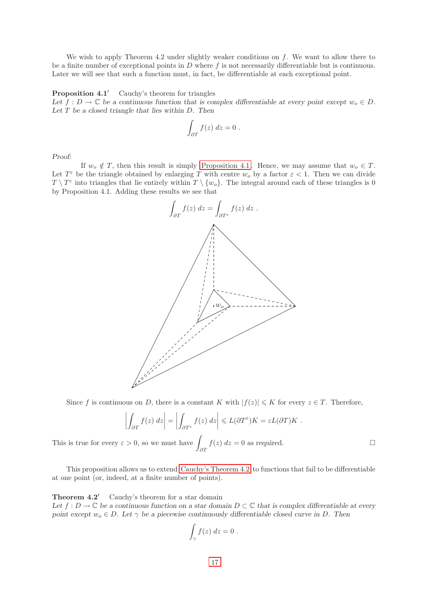We wish to apply Theorem 4.2 under slightly weaker conditions on f. We want to allow there to be a finite number of exceptional points in  $D$  where  $f$  is not necessarily differentiable but is continuous. Later we will see that such a function must, in fact, be differentiable at each exceptional point.

## <span id="page-19-0"></span>**Proposition 4.1'** Cauchy's theorem for triangles

Let  $f: D \to \mathbb{C}$  be a continuous function that is complex differentiable at every point except  $w_0 \in D$ . Let  $T$  be a closed triangle that lies within  $D$ . Then

$$
\int_{\partial T} f(z) \ dz = 0 \ .
$$

Proof:

If  $w_o \notin T$ , then this result is simply Proposition 4.1. Hence, we may assume that  $w_o \in T$ . Let  $T^{\varepsilon}$  be the triangle obtained by enlarging T with centre  $w_o$  by a factor  $\varepsilon < 1$ . Then we can divide  $T \setminus T^{\varepsilon}$  into triangles that lie entirely within  $T \setminus \{w_o\}$ . The integral around each of these triangles is 0 by Proposition 4.1. Adding these results we see that



Since f is continuous on D, there is a constant K with  $|f(z)| \leq K$  for every  $z \in T$ . Therefore,

$$
\left| \int_{\partial T} f(z) dz \right| = \left| \int_{\partial T^{\varepsilon}} f(z) dz \right| \leqslant L(\partial T^{\varepsilon}) K = \varepsilon L(\partial T) K.
$$

This is true for every  $\varepsilon > 0$ , so we must have ∂T  $f(z)$   $dz = 0$  as required.

This proposition allows us to extend [Cauchy's Theorem 4.2](#page-18-0) to functions that fail to be differentiable at one point (or, indeed, at a finite number of points).

<span id="page-19-1"></span>**Theorem 4.2'** Cauchy's theorem for a star domain

Let  $f: D \to \mathbb{C}$  be a continuous function on a star domain  $D \subset \mathbb{C}$  that is complex differentiable at every point except  $w_0 \in D$ . Let  $\gamma$  be a piecewise continuously differentiable closed curve in D. Then

$$
\int_{\gamma} f(z) dz = 0.
$$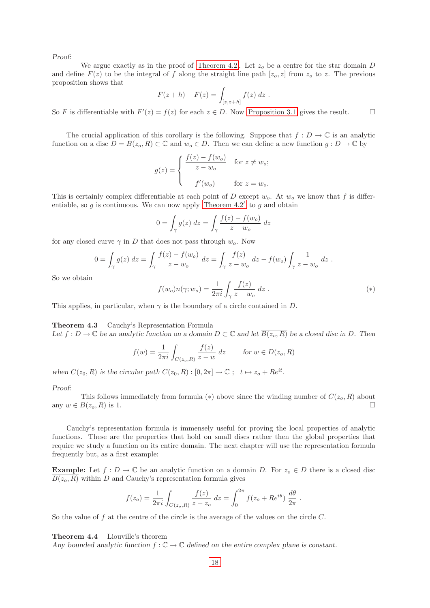We argue exactly as in the proof of Theorem 4.2. Let  $z<sub>o</sub>$  be a centre for the star domain D and define  $F(z)$  to be the integral of f along the straight line path  $[z_0, z]$  from  $z_0$  to z. The previous proposition shows that

$$
F(z + h) - F(z) = \int_{[z, z+h]} f(z) \, dz \; .
$$

So F is differentiable with  $F'(z) = f(z)$  for each  $z \in D$ . Now [Proposition 3.1](#page-11-4) gives the result.

The crucial application of this corollary is the following. Suppose that  $f: D \to \mathbb{C}$  is an analytic function on a disc  $D = B(z_o, R) \subset \mathbb{C}$  and  $w_o \in D$ . Then we can define a new function  $g : D \to \mathbb{C}$  by

$$
g(z) = \begin{cases} \frac{f(z) - f(w_o)}{z - w_o} & \text{for } z \neq w_o; \\ f'(w_o) & \text{for } z = w_o. \end{cases}
$$

This is certainly complex differentiable at each point of D except  $w<sub>o</sub>$ . At  $w<sub>o</sub>$  we know that f is differentiable, so  $g$  is continuous. We can now apply [Theorem 4.2](#page-19-1)' to  $g$  and obtain

$$
0 = \int_{\gamma} g(z) dz = \int_{\gamma} \frac{f(z) - f(w_o)}{z - w_o} dz
$$

for any closed curve  $\gamma$  in D that does not pass through  $w_o$ . Now

$$
0 = \int_{\gamma} g(z) dz = \int_{\gamma} \frac{f(z) - f(w_o)}{z - w_o} dz = \int_{\gamma} \frac{f(z)}{z - w_o} dz - f(w_o) \int_{\gamma} \frac{1}{z - w_o} dz.
$$

So we obtain

$$
f(w_o)n(\gamma; w_o) = \frac{1}{2\pi i} \int_{\gamma} \frac{f(z)}{z - w_o} dz .
$$
 (\*)

<span id="page-20-0"></span>This applies, in particular, when  $\gamma$  is the boundary of a circle contained in D.

## Theorem 4.3 Cauchy's Representation Formula

Let  $f: D \to \mathbb{C}$  be an analytic function on a domain  $D \subset \mathbb{C}$  and let  $\overline{B(z_o, R)}$  be a closed disc in D. Then

$$
f(w) = \frac{1}{2\pi i} \int_{C(z_o,R)} \frac{f(z)}{z - w} dz \quad \text{for } w \in D(z_o, R)
$$

when  $C(z_0, R)$  is the circular path  $C(z_0, R) : [0, 2\pi] \to \mathbb{C}$ ;  $t \mapsto z_0 + Re^{it}$ .

#### Proof:

This follows immediately from formula ( $*$ ) above since the winding number of  $C(z_o, R)$  about any  $w \in B(z_o, R)$  is 1.

Cauchy's representation formula is immensely useful for proving the local properties of analytic functions. These are the properties that hold on small discs rather then the global properties that require we study a function on its entire domain. The next chapter will use the representation formula frequently but, as a first example:

**Example:** Let  $f: D \to \mathbb{C}$  be an analytic function on a domain D. For  $z_o \in D$  there is a closed disc  $\overline{B(z_o, R)}$  within D and Cauchy's representation formula gives

$$
f(z_o) = \frac{1}{2\pi i} \int_{C(z_o,R)} \frac{f(z)}{z - z_o} dz = \int_0^{2\pi} f(z_o + Re^{i\theta}) \frac{d\theta}{2\pi}.
$$

<span id="page-20-1"></span>So the value of  $f$  at the centre of the circle is the average of the values on the circle  $C$ .

Theorem 4.4 Liouville's theorem

Any bounded analytic function  $f: \mathbb{C} \to \mathbb{C}$  defined on the entire complex plane is constant.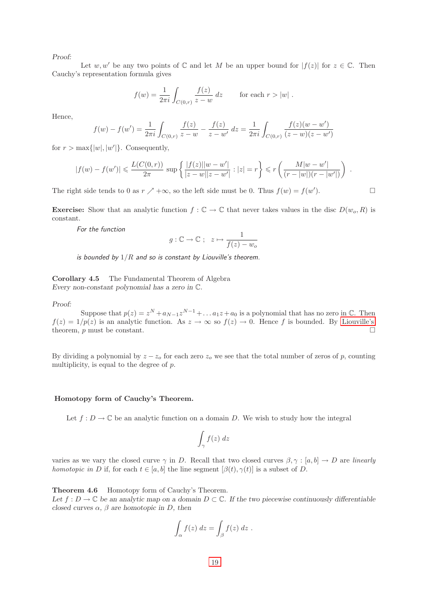Let w, w' be any two points of  $\mathbb C$  and let M be an upper bound for  $|f(z)|$  for  $z \in \mathbb C$ . Then Cauchy's representation formula gives

$$
f(w) = \frac{1}{2\pi i} \int_{C(0,r)} \frac{f(z)}{z - w} \, dz \qquad \text{for each } r > |w|.
$$

Hence,

$$
f(w) - f(w') = \frac{1}{2\pi i} \int_{C(0,r)} \frac{f(z)}{z - w} - \frac{f(z)}{z - w'} dz = \frac{1}{2\pi i} \int_{C(0,r)} \frac{f(z)(w - w')}{(z - w)(z - w')}
$$

for  $r > \max\{|w|, |w'|\}$ . Consequently,

$$
|f(w) - f(w')| \leqslant \frac{L(C(0,r))}{2\pi} \sup \left\{ \frac{|f(z)||w - w'|}{|z - w||z - w'|} : |z| = r \right\} \leqslant r \left( \frac{M|w - w'|}{(r - |w|)(r - |w'|)} \right) .
$$

The right side tends to 0 as  $r \nearrow +\infty$ , so the left side must be 0. Thus  $f(w) = f(w')$  $\Box$ 

**Exercise:** Show that an analytic function  $f : \mathbb{C} \to \mathbb{C}$  that never takes values in the disc  $D(w_o, R)$  is constant.

For the function

$$
g: \mathbb{C} \to \mathbb{C} \; ; \; z \mapsto \frac{1}{f(z) - w_o}
$$

is bounded by  $1/R$  and so is constant by Liouville's theorem.

<span id="page-21-0"></span>Corollary 4.5 The Fundamental Theorem of Algebra Every non-constant polynomial has a zero in C.

Proof:

Suppose that  $p(z) = z^N + a_{N-1}z^{N-1} + \dots + a_1z + a_0$  is a polynomial that has no zero in  $\mathbb{C}$ . Then  $f(z) = 1/p(z)$  is an analytic function. As  $z \to \infty$  so  $f(z) \to 0$ . Hence f is bounded. By [Liouville's](#page-20-1) theorem,  $p$  must be constant.

By dividing a polynomial by  $z - z<sub>o</sub>$  for each zero  $z<sub>o</sub>$  we see that the total number of zeros of p, counting multiplicity, is equal to the degree of  $p$ .

## <span id="page-21-1"></span>Homotopy form of Cauchy's Theorem.

Let  $f: D \to \mathbb{C}$  be an analytic function on a domain D. We wish to study how the integral

$$
\int_{\gamma} f(z) \; dz
$$

varies as we vary the closed curve  $\gamma$  in D. Recall that two closed curves  $\beta, \gamma : [a, b] \to D$  are *linearly* homotopic in D if, for each  $t \in [a, b]$  the line segment  $[\beta(t), \gamma(t)]$  is a subset of D.

<span id="page-21-2"></span>Theorem 4.6 Homotopy form of Cauchy's Theorem.

Let  $f: D \to \mathbb{C}$  be an analytic map on a domain  $D \subset \mathbb{C}$ . If the two piecewise continuously differentiable closed curves  $\alpha$ ,  $\beta$  are homotopic in D, then

$$
\int_{\alpha} f(z) dz = \int_{\beta} f(z) dz .
$$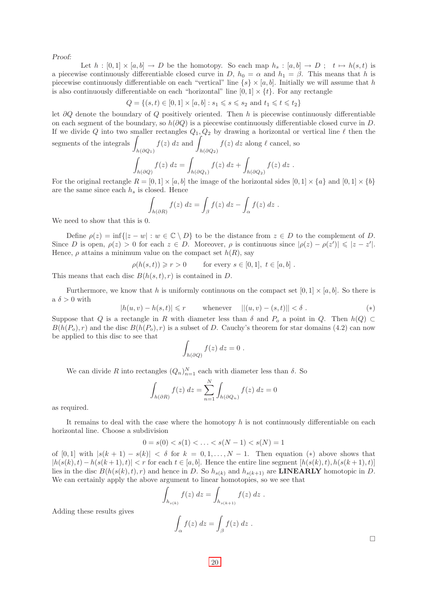Let  $h : [0,1] \times [a,b] \to D$  be the homotopy. So each map  $h_s : [a,b] \to D$ ;  $t \mapsto h(s,t)$  is a piecewise continuously differentiable closed curve in D,  $h_0 = \alpha$  and  $h_1 = \beta$ . This means that h is piecewise continuously differentiable on each "vertical" line  $\{s\} \times [a, b]$ . Initially we will assume that h is also continuously differentiable on each "horizontal" line  $[0, 1] \times \{t\}$ . For any rectangle

$$
Q = \{(s, t) \in [0, 1] \times [a, b] : s_1 \le s \le s_2 \text{ and } t_1 \le t \le t_2\}
$$

let ∂Q denote the boundary of Q positively oriented. Then h is piecewise continuously differentiable on each segment of the boundary, so  $h(\partial Q)$  is a piecewise continuously differentiable closed curve in D. If we divide Q into two smaller rectangles  $Q_1, Q_2$  by drawing a horizontal or vertical line  $\ell$  then the

segments of the integrals  $h(\partial Q_1)$  $f(z)$  dz and  $h(\partial Q_2)$  $f(z)$  dz along  $\ell$  cancel, so  $\int f(z) dz = \int f(z) dz + \int f(z) dz.$ 

$$
\int_{h(\partial Q)} f(z) dz = \int_{h(\partial Q_1)} f(z) dz + \int_{h(\partial Q_2)} f(z) dz
$$

For the original rectangle  $R = [0, 1] \times [a, b]$  the image of the horizontal sides  $[0, 1] \times \{a\}$  and  $[0, 1] \times \{b\}$ are the same since each  $h_s$  is closed. Hence

$$
\int_{h(\partial R)} f(z) dz = \int_{\beta} f(z) dz - \int_{\alpha} f(z) dz.
$$

We need to show that this is 0.

Define  $\rho(z) = \inf\{|z - w| : w \in \mathbb{C} \setminus D\}$  to be the distance from  $z \in D$  to the complement of D. Since D is open,  $\rho(z) > 0$  for each  $z \in D$ . Moreover,  $\rho$  is continuous since  $|\rho(z) - \rho(z')| \leq |z - z'|$ . Hence,  $\rho$  attains a minimum value on the compact set  $h(R)$ , say

$$
\rho(h(s,t)) \ge r > 0 \qquad \text{for every } s \in [0,1], \ t \in [a,b].
$$

This means that each disc  $B(h(s,t), r)$  is contained in D.

Furthermore, we know that h is uniformly continuous on the compact set  $[0, 1] \times [a, b]$ . So there is a  $\delta > 0$  with

$$
|h(u, v) - h(s, t)| \le r
$$
 whenever  $||(u, v) - (s, t)|| < \delta$ . (\*)

Suppose that Q is a rectangle in R with diameter less than  $\delta$  and  $P_o$  a point in Q. Then  $h(Q) \subset$  $B(h(P_o), r)$  and the disc  $B(h(P_o), r)$  is a subset of D. Cauchy's theorem for star domains (4.2) can now be applied to this disc to see that

$$
\int_{h(\partial Q)} f(z) dz = 0.
$$

We can divide R into rectangles  $(Q_n)_{n=1}^N$  each with diameter less than  $\delta$ . So

$$
\int_{h(\partial R)} f(z) dz = \sum_{n=1}^{N} \int_{h(\partial Q_n)} f(z) dz = 0
$$

as required.

It remains to deal with the case where the homotopy  $h$  is not continuously differentiable on each horizontal line. Choose a subdivision

$$
0 = s(0) < s(1) < \ldots < s(N - 1) < s(N) = 1
$$

of  $[0,1]$  with  $|s(k + 1) - s(k)| < \delta$  for  $k = 0,1,..., N - 1$ . Then equation  $(*)$  above shows that  $|h(s(k), t) - h(s(k+1), t)| < r$  for each  $t \in [a, b]$ . Hence the entire line segment  $[h(s(k), t), h(s(k+1), t)]$ lies in the disc  $B(h(s(k), t), r)$  and hence in D. So  $h_{s(k)}$  and  $h_{s(k+1)}$  are **LINEARLY** homotopic in D. We can certainly apply the above argument to linear homotopies, so we see that

$$
\int_{h_{s(k)}} f(z) \, dz = \int_{h_{s(k+1)}} f(z) \, dz \, .
$$

Adding these results gives

$$
\int_{\alpha} f(z) dz = \int_{\beta} f(z) dz .
$$

 $\Box$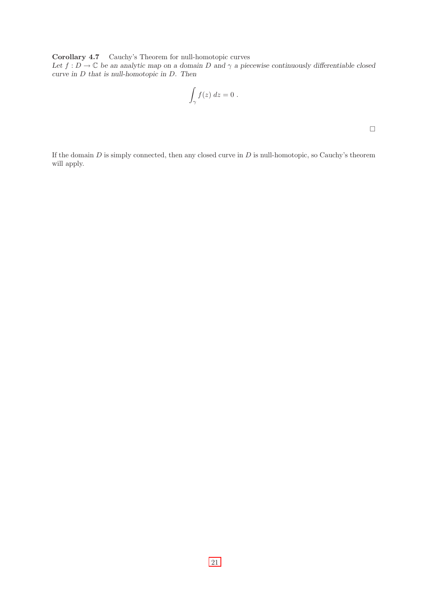<span id="page-23-0"></span>Corollary 4.7 Cauchy's Theorem for null-homotopic curves

Let  $f: D \to \mathbb{C}$  be an analytic map on a domain D and  $\gamma$  a piecewise continuously differentiable closed curve in D that is null-homotopic in D. Then

$$
\int_{\gamma} f(z) dz = 0.
$$

 $\Box$ 

If the domain  $D$  is simply connected, then any closed curve in  $D$  is null-homotopic, so Cauchy's theorem will apply.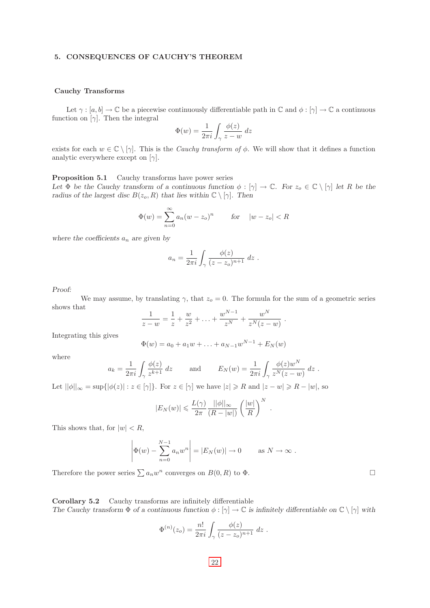## <span id="page-24-0"></span>5. CONSEQUENCES OF CAUCHY'S THEOREM

## <span id="page-24-1"></span>Cauchy Transforms

Let  $\gamma : [a, b] \to \mathbb{C}$  be a piecewise continuously differentiable path in  $\mathbb{C}$  and  $\phi : [\gamma] \to \mathbb{C}$  a continuous function on  $[\gamma]$ . Then the integral

$$
\Phi(w) = \frac{1}{2\pi i} \int_{\gamma} \frac{\phi(z)}{z - w} dz
$$

exists for each  $w \in \mathbb{C} \setminus [\gamma]$ . This is the *Cauchy transform of*  $\phi$ . We will show that it defines a function analytic everywhere except on  $[\gamma]$ .

<span id="page-24-2"></span>Proposition 5.1 Cauchy transforms have power series Let  $\Phi$  be the Cauchy transform of a continuous function  $\phi : [\gamma] \to \mathbb{C}$ . For  $z_o \in \mathbb{C} \setminus [\gamma]$  let R be the radius of the largest disc  $B(z_o, R)$  that lies within  $\mathbb{C} \setminus [\gamma]$ . Then

$$
\Phi(w) = \sum_{n=0}^{\infty} a_n (w - z_o)^n \qquad \text{for} \quad |w - z_o| < R
$$

where the coefficients  $a_n$  are given by

$$
a_n = \frac{1}{2\pi i} \int_{\gamma} \frac{\phi(z)}{(z - z_o)^{n+1}} dz.
$$

Proof:

We may assume, by translating  $\gamma$ , that  $z_0 = 0$ . The formula for the sum of a geometric series shows that  $N^2-1$  $\lambda$ r

$$
\frac{1}{z-w} = \frac{1}{z} + \frac{w}{z^2} + \ldots + \frac{w^{N-1}}{z^N} + \frac{w^N}{z^N(z-w)}.
$$

Integrating this gives

$$
\Phi(w) = a_0 + a_1 w + \ldots + a_{N-1} w^{N-1} + E_N(w)
$$

where

$$
a_k = \frac{1}{2\pi i} \int_{\gamma} \frac{\phi(z)}{z^{k+1}} dz \quad \text{and} \quad E_N(w) = \frac{1}{2\pi i} \int_{\gamma} \frac{\phi(z)w^N}{z^N(z-w)} dz.
$$

Let  $||\phi||_{\infty} = \sup\{|\phi(z)| : z \in [\gamma]\}.$  For  $z \in [\gamma]$  we have  $|z| \ge R$  and  $|z - w| \ge R - |w|$ , so

$$
|E_N(w)| \leqslant \frac{L(\gamma)}{2\pi} \frac{||\phi||_{\infty}}{(R-|w|)} \left(\frac{|w|}{R}\right)^N.
$$

This shows that, for  $|w| < R$ ,

$$
\left| \Phi(w) - \sum_{n=0}^{N-1} a_n w^n \right| = |E_N(w)| \to 0 \quad \text{as } N \to \infty.
$$

Therefore the power series  $\sum a_n w^n$  converges on  $B(0, R)$  to  $\Phi$ .

<span id="page-24-3"></span>Corollary 5.2 Cauchy transforms are infinitely differentiable The Cauchy transform  $\Phi$  of a continuous function  $\phi : [\gamma] \to \mathbb{C}$  is infinitely differentiable on  $\mathbb{C} \setminus [\gamma]$  with

$$
\Phi^{(n)}(z_o) = \frac{n!}{2\pi i} \int_{\gamma} \frac{\phi(z)}{(z - z_o)^{n+1}} dz.
$$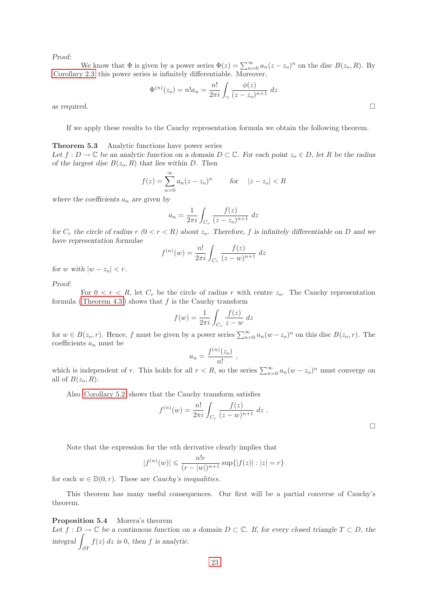We know that  $\Phi$  is given by a power series  $\Phi(z) = \sum_{n=0}^{\infty} a_n(z - z_o)^n$  on the disc  $B(z_o, R)$ . By [Corollary 2.3](#page-6-0) this power series is infinitely differentiable. Moreover,

$$
\Phi^{(n)}(z_o) = n! a_n = \frac{n!}{2\pi i} \int_{\gamma} \frac{\phi(z)}{(z - z_o)^{n+1}} dz
$$
 as required.

If we apply these results to the Cauchy representation formula we obtain the following theorem.

## <span id="page-25-0"></span>Theorem 5.3 Analytic functions have power series

Let  $f: D \to \mathbb{C}$  be an analytic function on a domain  $D \subset \mathbb{C}$ . For each point  $z_0 \in D$ , let R be the radius of the largest disc  $B(z_0, R)$  that lies within D. Then

$$
f(z) = \sum_{n=0}^{\infty} a_n (z - z_o)^n
$$
 for  $|z - z_o| < R$ 

where the coefficients  $a_n$  are given by

$$
a_n = \frac{1}{2\pi i} \int_{C_r} \frac{f(z)}{(z - z_o)^{n+1}} dz
$$

for  $C_r$  the circle of radius  $r (0 < r < R)$  about  $z_o$ . Therefore, f is infinitely differentiable on D and we have representation formulae

$$
f^{(n)}(w) = \frac{n!}{2\pi i} \int_{C_r} \frac{f(z)}{(z-w)^{n+1}} dz
$$

for w with  $|w - z_o| < r$ .

## Proof:

For  $0 < r < R$ , let  $C_r$  be the circle of radius r with centre  $z_o$ . The Cauchy representation formula (Theorem 4.3) shows that  $f$  is the Cauchy transform

$$
f(w) = \frac{1}{2\pi i} \int_{C_r} \frac{f(z)}{z - w} dz
$$

for  $w \in B(z_0, r)$ . Hence, f must be given by a power series  $\sum_{n=0}^{\infty} a_n (w - z_0)^n$  on this disc  $B(z_0, r)$ . The coefficients  $a_n$  must be

$$
a_n = \frac{f^{(n)}(z_o)}{n!} \; ,
$$

which is independent of r. This holds for all  $r < R$ , so the series  $\sum_{n=0}^{\infty} a_n (w - z_o)^n$  must converge on all of  $B(z_o, R)$ .

Also [Corollary 5.2](#page-24-3) shows that the Cauchy transform satisfies

$$
f^{(n)}(w) = \frac{n!}{2\pi i} \int_{C_r} \frac{f(z)}{(z-w)^{n+1}} dz.
$$

 $\Box$ 

Note that the expression for the nth derivative clearly implies that

$$
|f^{(n)}(w)| \leqslant \frac{n!r}{(r-|w|)^{n+1}} \sup\{|f(z)| : |z| = r\}
$$

for each  $w \in \mathbb{D}(0, r)$ . These are *Cauchy's inequalities*.

This theorem has many useful consequences. Our first will be a partial converse of Cauchy's theorem.

## <span id="page-25-1"></span>Proposition 5.4 Morera's theorem

Let  $f: D \to \mathbb{C}$  be a continuous function on a domain  $D \subset \mathbb{C}$ . If, for every closed triangle  $T \subset D$ , the integral ∂T  $f(z)$  dz is 0, then f is analytic.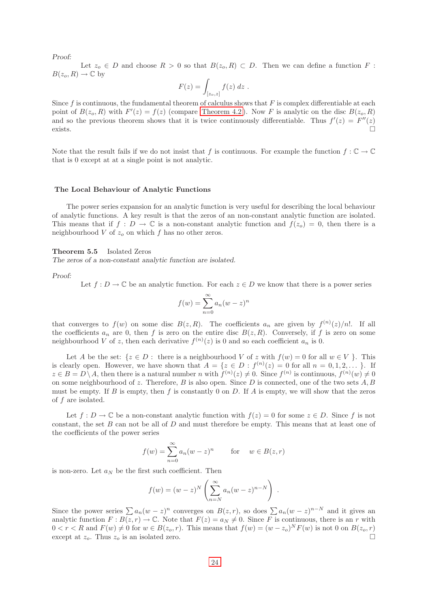Let  $z_0 \in D$  and choose  $R > 0$  so that  $B(z_0, R) \subset D$ . Then we can define a function F:  $B(z_o, R) \to \mathbb{C}$  by

$$
F(z) = \int_{[z_o, z]} f(z) dz .
$$

Since  $f$  is continuous, the fundamental theorem of calculus shows that  $F$  is complex differentiable at each point of  $B(z_o, R)$  with  $F'(z) = f(z)$  (compare [Theorem 4.2](#page-18-0)). Now F is analytic on the disc  $B(z_o, R)$ and so the previous theorem shows that it is twice continuously differentiable. Thus  $f'(z) = F''(z)$ exists.  $\Box$ 

Note that the result fails if we do not insist that f is continuous. For example the function  $f: \mathbb{C} \to \mathbb{C}$ that is 0 except at at a single point is not analytic.

#### <span id="page-26-0"></span>The Local Behaviour of Analytic Functions

The power series expansion for an analytic function is very useful for describing the local behaviour of analytic functions. A key result is that the zeros of an non-constant analytic function are isolated. This means that if  $f: D \to \mathbb{C}$  is a non-constant analytic function and  $f(z_0) = 0$ , then there is a neighbourhood  $V$  of  $z<sub>o</sub>$  on which  $f$  has no other zeros.

#### <span id="page-26-1"></span>Theorem 5.5 Isolated Zeros

The zeros of a non-constant analytic function are isolated.

Proof:

Let  $f: D \to \mathbb{C}$  be an analytic function. For each  $z \in D$  we know that there is a power series

$$
f(w) = \sum_{n=0}^{\infty} a_n (w - z)^n
$$

that converges to  $f(w)$  on some disc  $B(z, R)$ . The coefficients  $a_n$  are given by  $f^{(n)}(z)/n!$ . If all the coefficients  $a_n$  are 0, then f is zero on the entire disc  $B(z, R)$ . Conversely, if f is zero on some neighbourhood V of z, then each derivative  $f^{(n)}(z)$  is 0 and so each coefficient  $a_n$  is 0.

Let A be the set:  $\{z \in D: \text{ there is a neighbourhood } V \text{ of } z \text{ with } f(w) = 0 \text{ for all } w \in V \}$ . This is clearly open. However, we have shown that  $A = \{z \in D : f^{(n)}(z) = 0 \text{ for all } n = 0, 1, 2, \dots \}$ . If  $z \in B = D \setminus A$ , then there is a natural number n with  $f^{(n)}(z) \neq 0$ . Since  $f^{(n)}$  is continuous,  $f^{(n)}(w) \neq 0$ on some neighbourhood of z. Therefore,  $B$  is also open. Since  $D$  is connected, one of the two sets  $A, B$ must be empty. If B is empty, then f is constantly 0 on D. If A is empty, we will show that the zeros of f are isolated.

Let  $f: D \to \mathbb{C}$  be a non-constant analytic function with  $f(z) = 0$  for some  $z \in D$ . Since f is not constant, the set  $B$  can not be all of  $D$  and must therefore be empty. This means that at least one of the coefficients of the power series

$$
f(w) = \sum_{n=0}^{\infty} a_n (w - z)^n \quad \text{for} \quad w \in B(z, r)
$$

is non-zero. Let  $a_N$  be the first such coefficient. Then

$$
f(w) = (w - z)^N \left( \sum_{n=N}^{\infty} a_n (w - z)^{n-N} \right).
$$

Since the power series  $\sum a_n(w-z)^n$  converges on  $B(z,r)$ , so does  $\sum a_n(w-z)^{n-N}$  and it gives an analytic function  $F : B(z, r) \to \mathbb{C}$ . Note that  $F(z) = a_N \neq 0$ . Since F is continuous, there is an r with  $0 < r < R$  and  $F(w) \neq 0$  for  $w \in B(z_0, r)$ . This means that  $f(w) = (w - z_0)^N F(w)$  is not 0 on  $B(z_0, r)$ except at  $z_o$ . Thus  $z_o$  is an isolated zero.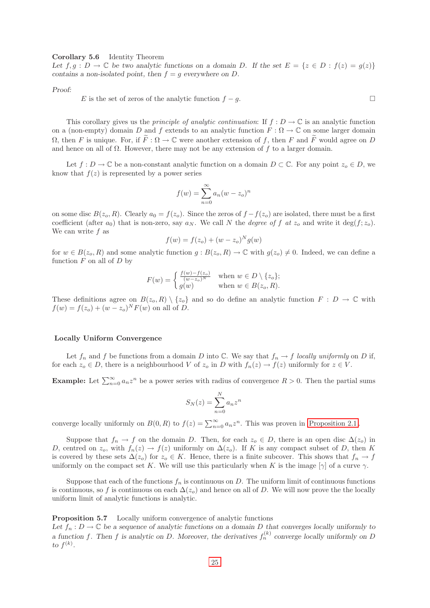## <span id="page-27-0"></span>Corollary 5.6 Identity Theorem

Let  $f, g : D \to \mathbb{C}$  be two analytic functions on a domain D. If the set  $E = \{z \in D : f(z) = g(z)\}\$ contains a non-isolated point, then  $f = g$  everywhere on D.

Proof:

E is the set of zeros of the analytic function  $f - g$ .

<span id="page-27-1"></span>This corollary gives us the *principle of analytic continuation*: If  $f: D \to \mathbb{C}$  is an analytic function on a (non-empty) domain D and f extends to an analytic function  $F : \Omega \to \mathbb{C}$  on some larger domain  $\Omega$ , then F is unique. For, if  $\widetilde{F}: \Omega \to \mathbb{C}$  were another extension of f, then F and  $\widetilde{F}$  would agree on D and hence on all of  $\Omega$ . However, there may not be any extension of f to a larger domain.

Let  $f: D \to \mathbb{C}$  be a non-constant analytic function on a domain  $D \subset \mathbb{C}$ . For any point  $z_o \in D$ , we know that  $f(z)$  is represented by a power series

$$
f(w) = \sum_{n=0}^{\infty} a_n (w - z_o)^n
$$

on some disc  $B(z_o, R)$ . Clearly  $a_0 = f(z_o)$ . Since the zeros of  $f - f(z_o)$  are isolated, there must be a first coefficient (after  $a_0$ ) that is non-zero, say  $a_N$ . We call N the *degree of f at*  $z_o$  and write it deg $(f; z_o)$ . We can write  $f$  as

$$
f(w) = f(z_o) + (w - z_o)^N g(w)
$$

for  $w \in B(z_o, R)$  and some analytic function  $g : B(z_o, R) \to \mathbb{C}$  with  $g(z_o) \neq 0$ . Indeed, we can define a function  $F$  on all of  $D$  by

$$
F(w) = \begin{cases} \frac{f(w) - f(z_o)}{(w - z_o)^N} & \text{when } w \in D \setminus \{z_o\};\\ g(w) & \text{when } w \in B(z_o, R). \end{cases}
$$

These definitions agree on  $B(z_o, R) \setminus \{z_o\}$  and so do define an analytic function  $F : D \to \mathbb{C}$  with  $f(w) = f(z_o) + (w - z_o)^N F(w)$  on all of D.

## <span id="page-27-2"></span>Locally Uniform Convergence

Let  $f_n$  and f be functions from a domain D into  $\mathbb C$ . We say that  $f_n \to f$  locally uniformly on D if, for each  $z_o \in D$ , there is a neighbourhood V of  $z_o$  in D with  $f_n(z) \to f(z)$  uniformly for  $z \in V$ .

**Example:** Let  $\sum_{n=0}^{\infty} a_n z^n$  be a power series with radius of convergence  $R > 0$ . Then the partial sums

$$
S_N(z) = \sum_{n=0}^{N} a_n z^n
$$

converge locally uniformly on  $B(0, R)$  to  $f(z) = \sum_{n=0}^{\infty} a_n z^n$ . This was proven in [Proposition 2.1](#page-5-1).

Suppose that  $f_n \to f$  on the domain D. Then, for each  $z_o \in D$ , there is an open disc  $\Delta(z_o)$  in D, centred on  $z_o$ , with  $f_n(z) \to f(z)$  uniformly on  $\Delta(z_o)$ . If K is any compact subset of D, then K is covered by these sets  $\Delta(z_o)$  for  $z_o \in K$ . Hence, there is a finite subcover. This shows that  $f_n \to f$ uniformly on the compact set K. We will use this particularly when K is the image  $[\gamma]$  of a curve  $\gamma$ .

Suppose that each of the functions  $f_n$  is continuous on D. The uniform limit of continuous functions is continuous, so f is continuous on each  $\Delta(z_o)$  and hence on all of D. We will now prove the the locally uniform limit of analytic functions is analytic.

<span id="page-27-3"></span>Proposition 5.7 Locally uniform convergence of analytic functions

Let  $f_n: D \to \mathbb{C}$  be a sequence of analytic functions on a domain D that converges locally uniformly to a function f. Then f is analytic on D. Moreover, the derivatives  $f_n^{(k)}$  converge locally uniformly on D to  $f^{(k)}$ .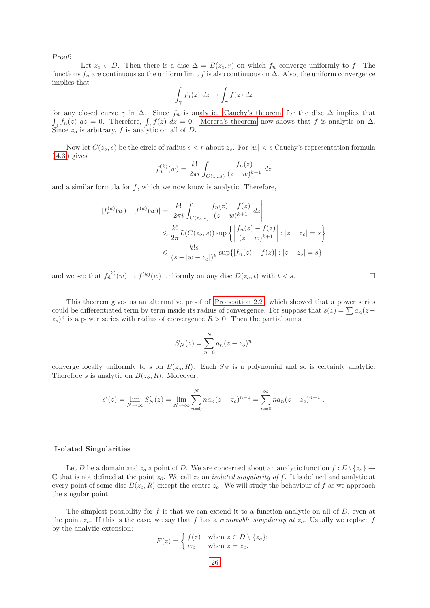Let  $z_0 \in D$ . Then there is a disc  $\Delta = B(z_0, r)$  on which  $f_n$  converge uniformly to f. The functions  $f_n$  are continuous so the uniform limit f is also continuous on  $\Delta$ . Also, the uniform convergence implies that

$$
\int_{\gamma} f_n(z) dz \to \int_{\gamma} f(z) dz
$$

for any closed curve  $\gamma$  in  $\Delta$ . Since  $f_n$  is analytic, [Cauchy's theorem](#page-19-1) for the disc  $\Delta$  implies that  $\int_{\gamma} f_n(z) dz = 0$ . Therefore,  $\int_{\gamma} f(z) dz = 0$ . [Morera's theorem](#page-25-1) now shows that f is analytic on  $\Delta$ . Since  $z_o$  is arbitrary, f is analytic on all of D.

Now let  $C(z_0, s)$  be the circle of radius  $s < r$  about  $z_0$ . For  $|w| < s$  Cauchy's representation formula  $(4.3)$  gives

$$
f_n^{(k)}(w) = \frac{k!}{2\pi i} \int_{C(z_o,s)} \frac{f_n(z)}{(z-w)^{k+1}} dz
$$

and a similar formula for  $f$ , which we now know is analytic. Therefore,

$$
|f_n^{(k)}(w) - f^{(k)}(w)| = \left| \frac{k!}{2\pi i} \int_{C(z_o, s)} \frac{f_n(z) - f(z)}{(z - w)^{k+1}} dz \right|
$$
  

$$
\leq \frac{k!}{2\pi} L(C(z_o, s)) \sup \left\{ \left| \frac{f_n(z) - f(z)}{(z - w)^{k+1}} \right| : |z - z_o| = s \right\}
$$
  

$$
\leq \frac{k!s}{(s - |w - z_o|)^k} \sup \{ |f_n(z) - f(z)| : |z - z_o| = s \}
$$

and we see that  $f_n^{(k)}(w) \to f^{(k)}(w)$  uniformly on any disc  $D(z_o, t)$  with  $t < s$ .

This theorem gives us an alternative proof of [Proposition 2.2 ,](#page-5-2) which showed that a power series could be differentiated term by term inside its radius of convergence. For suppose that  $s(z) = \sum a_n(z (z_o)^n$  is a power series with radius of convergence  $R > 0$ . Then the partial sums

$$
S_N(z) = \sum_{n=0}^{N} a_n (z - z_o)^n
$$

converge locally uniformly to s on  $B(z_0, R)$ . Each  $S_N$  is a polynomial and so is certainly analytic. Therefore s is analytic on  $B(z_0, R)$ . Moreover,

$$
s'(z) = \lim_{N \to \infty} S'_N(z) = \lim_{N \to \infty} \sum_{n=0}^N n a_n (z - z_o)^{n-1} = \sum_{n=0}^\infty n a_n (z - z_o)^{n-1}.
$$

## <span id="page-28-0"></span>Isolated Singularities

Let D be a domain and  $z_o$  a point of D. We are concerned about an analytic function  $f: D \setminus \{z_o\} \to$ C that is not defined at the point  $z_o$ . We call  $z_o$  an *isolated singularity of f*. It is defined and analytic at every point of some disc  $B(z_0, R)$  except the centre  $z_0$ . We will study the behaviour of f as we approach the singular point.

<span id="page-28-1"></span>The simplest possibility for  $f$  is that we can extend it to a function analytic on all of  $D$ , even at the point  $z_o$ . If this is the case, we say that f has a removable singularity at  $z_o$ . Usually we replace f by the analytic extension:

$$
F(z) = \begin{cases} f(z) & \text{when } z \in D \setminus \{z_o\}; \\ w_o & \text{when } z = z_o. \end{cases}
$$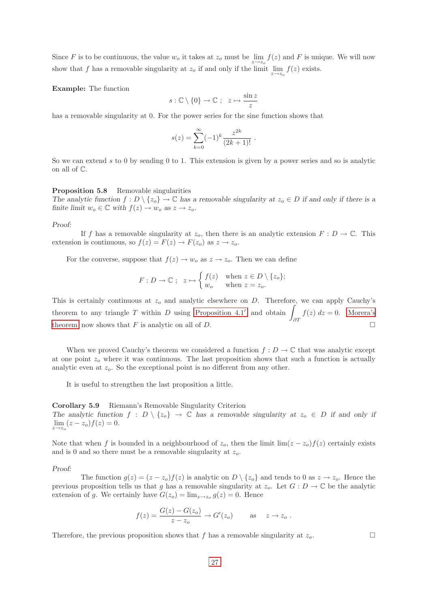Since F is to be continuous, the value  $w_o$  it takes at  $z_o$  must be  $\lim_{z\to z_o} f(z)$  and F is unique. We will now show that f has a removable singularity at  $z_o$  if and only if the limit  $\lim_{z \to z_o} f(z)$  exists.

Example: The function

$$
s:\mathbb{C}\setminus\{0\}\to\mathbb{C} \ ; \ z\mapsto \frac{\sin z}{z}
$$

has a removable singularity at 0. For the power series for the sine function shows that

$$
s(z) = \sum_{k=0}^{\infty} (-1)^k \frac{z^{2k}}{(2k+1)!}.
$$

<span id="page-29-0"></span>So we can extend s to 0 by sending 0 to 1. This extension is given by a power series and so is analytic on all of C.

## Proposition 5.8 Removable singularities

The analytic function  $f: D \setminus \{z_0\} \to \mathbb{C}$  has a removable singularity at  $z_0 \in D$  if and only if there is a finite limit  $w_o \in \mathbb{C}$  with  $f(z) \to w_o$  as  $z \to z_o$ .

#### Proof:

If f has a removable singularity at  $z_o$ , then there is an analytic extension  $F: D \to \mathbb{C}$ . This extension is continuous, so  $f(z) = F(z) \rightarrow F(z_0)$  as  $z \rightarrow z_0$ .

For the converse, suppose that  $f(z) \to w_0$  as  $z \to z_0$ . Then we can define

$$
F: D \to \mathbb{C} \; ; \; z \mapsto \begin{cases} f(z) & \text{when } z \in D \setminus \{z_o\}; \\ w_o & \text{when } z = z_o. \end{cases}
$$

This is certainly continuous at  $z<sub>o</sub>$  and analytic elsewhere on D. Therefore, we can apply Cauchy's theorem to any triangle T within D using [Proposition 4.1](#page-19-0)' and obtain  $\partial T$  $f(z) dz = 0$ . [Morera's](#page-27-3) [theorem](#page-27-3) now shows that F is analytic on all of D.

When we proved Cauchy's theorem we considered a function  $f: D \to \mathbb{C}$  that was analytic except at one point  $z<sub>o</sub>$  where it was continuous. The last proposition shows that such a function is actually analytic even at  $z<sub>o</sub>$ . So the exceptional point is no different from any other.

It is useful to strengthen the last proposition a little.

<span id="page-29-1"></span>Corollary 5.9 Riemann's Removable Singularity Criterion The analytic function  $f : D \setminus \{z_0\} \to \mathbb{C}$  has a removable singularity at  $z_0 \in D$  if and only if  $\lim_{z \to z_o} (z - z_o) f(z) = 0.$ 

Note that when f is bounded in a neighbourhood of  $z_o$ , then the limit lim( $z - z_o$ ) $f(z)$  certainly exists and is 0 and so there must be a removable singularity at  $z_o$ .

#### Proof:

The function  $g(z) = (z - z_0)f(z)$  is analytic on  $D \setminus \{z_0\}$  and tends to 0 as  $z \to z_0$ . Hence the previous proposition tells us that g has a removable singularity at  $z_o$ . Let  $G : D \to \mathbb{C}$  be the analytic extension of g. We certainly have  $G(z_o) = \lim_{z \to z_o} g(z) = 0$ . Hence

$$
f(z) = \frac{G(z) - G(z_o)}{z - z_o} \to G'(z_o) \quad \text{as} \quad z \to z_o.
$$

Therefore, the previous proposition shows that f has a removable singularity at  $z_o$ .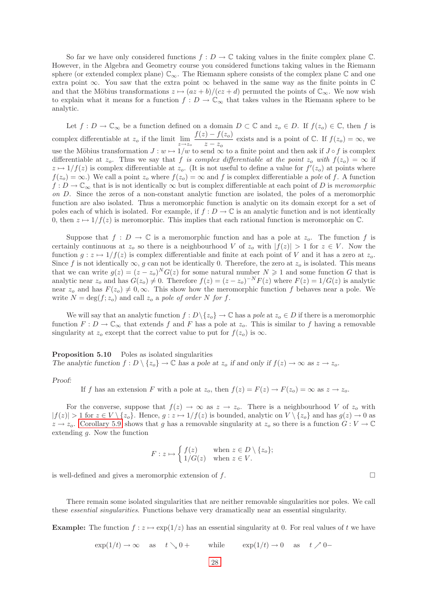So far we have only considered functions  $f: D \to \mathbb{C}$  taking values in the finite complex plane  $\mathbb{C}$ . However, in the Algebra and Geometry course you considered functions taking values in the Riemann sphere (or extended complex plane)  $\mathbb{C}_{\infty}$ . The Riemann sphere consists of the complex plane  $\mathbb{C}$  and one extra point  $\infty$ . You saw that the extra point  $\infty$  behaved in the same way as the finite points in  $\mathbb C$ and that the Möbius transformations  $z \mapsto (az + b)/(cz + d)$  permuted the points of  $\mathbb{C}_{\infty}$ . We now wish to explain what it means for a function  $f: D \to \mathbb{C}_{\infty}$  that takes values in the Riemann sphere to be analytic.

<span id="page-30-0"></span>Let  $f: D \to \mathbb{C}_{\infty}$  be a function defined on a domain  $D \subset \mathbb{C}$  and  $z_0 \in D$ . If  $f(z_0) \in \mathbb{C}$ , then f is complex differentiable at  $z_o$  if the limit  $\lim_{z \to z_o} \frac{f(z) - f(z_o)}{z - z_o}$  $\frac{z - z}{z - z_o}$  exists and is a point of  $\mathbb{C}$ . If  $f(z_o) = \infty$ , we use the Möbius transformation  $J : w \mapsto 1/w$  to send  $\infty$  to a finite point and then ask if  $J \circ f$  is complex differentiable at z<sub>o</sub>. Thus we say that f is complex differentiable at the point z<sub>o</sub> with  $f(z_0) = \infty$  if  $z \mapsto 1/f(z)$  is complex differentiable at  $z_o$ . (It is not useful to define a value for  $f'(z_o)$  at points where  $f(z_0) = \infty$ .) We call a point  $z_0$  where  $f(z_0) = \infty$  and f is complex differentiable a pole of f. A function  $f: D \to \mathbb{C}_{\infty}$  that is is not identically  $\infty$  but is complex differentiable at each point of D is meromorphic on D. Since the zeros of a non-constant analytic function are isolated, the poles of a meromorphic function are also isolated. Thus a meromorphic function is analytic on its domain except for a set of poles each of which is isolated. For example, if  $f: D \to \mathbb{C}$  is an analytic function and is not identically 0, then  $z \mapsto 1/f(z)$  is meromorphic. This implies that each rational function is meromorphic on  $\mathbb{C}$ .

Suppose that  $f: D \to \mathbb{C}$  is a meromorphic function and has a pole at  $z_o$ . The function f is certainly continuous at  $z_0$  so there is a neighbourhood V of  $z_0$  with  $|f(z)| > 1$  for  $z \in V$ . Now the function  $g: z \mapsto 1/f(z)$  is complex differentiable and finite at each point of V and it has a zero at  $z_o$ . Since f is not identically  $\infty$ , g can not be identically 0. Therefore, the zero at  $z<sub>o</sub>$  is isolated. This means that we can write  $g(z) = (z - z_o)^N G(z)$  for some natural number  $N \geq 1$  and some function G that is analytic near  $z_o$  and has  $G(z_o) \neq 0$ . Therefore  $f(z) = (z - z_o)^{-N} F(z)$  where  $F(z) = 1/G(z)$  is analytic near  $z_o$  and has  $F(z_o) \neq 0, \infty$ . This show how the meromorphic function f behaves near a pole. We write  $N = \deg(f; z_o)$  and call  $z_o$  a pole of order N for f.

We will say that an analytic function  $f: D \setminus \{z_o\} \to \mathbb{C}$  has a pole at  $z_o \in D$  if there is a meromorphic function  $F: D \to \mathbb{C}_{\infty}$  that extends f and F has a pole at  $z_o$ . This is similar to f having a removable singularity at  $z_o$  except that the correct value to put for  $f(z_o)$  is  $\infty$ .

<span id="page-30-1"></span>Proposition 5.10 Poles as isolated singularities The analytic function  $f: D \setminus \{z_o\} \to \mathbb{C}$  has a pole at  $z_o$  if and only if  $f(z) \to \infty$  as  $z \to z_o$ .

## Proof:

If f has an extension F with a pole at  $z_o$ , then  $f(z) = F(z) \rightarrow F(z_o) = \infty$  as  $z \rightarrow z_o$ .

For the converse, suppose that  $f(z) \to \infty$  as  $z \to z_o$ . There is a neighbourhood V of  $z_o$  with  $|f(z)| > 1$  for  $z \in V \setminus \{z_o\}$ . Hence,  $g: z \mapsto 1/f(z)$  is bounded, analytic on  $V \setminus \{z_o\}$  and has  $g(z) \to 0$  as  $z \to z_o$ . [Corollary 5.9](#page-29-1) shows that g has a removable singularity at  $z_o$  so there is a function  $G: V \to \mathbb{C}$ extending  $q$ . Now the function

$$
F: z \mapsto \begin{cases} f(z) & \text{when } z \in D \setminus \{z_o\}; \\ 1/G(z) & \text{when } z \in V. \end{cases}
$$

is well-defined and gives a meromorphic extension of  $f$ .

<span id="page-30-2"></span>There remain some isolated singularities that are neither removable singularities nor poles. We call these essential singularities. Functions behave very dramatically near an essential singularity.

**Example:** The function  $f: z \mapsto \exp(1/z)$  has an essential singularity at 0. For real values of t we have

$$
\exp(1/t) \to \infty
$$
 as  $t \searrow 0+$  while  $\exp(1/t) \to 0$  as  $t \nearrow 0-$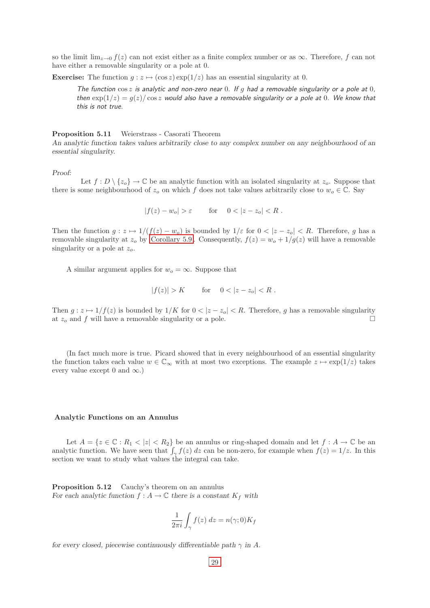so the limit  $\lim_{z\to 0} f(z)$  can not exist either as a finite complex number or as  $\infty$ . Therefore, f can not have either a removable singularity or a pole at 0.

**Exercise:** The function  $g : z \mapsto (\cos z) \exp(1/z)$  has an essential singularity at 0.

The function  $\cos z$  is analytic and non-zero near 0. If g had a removable singularity or a pole at 0, then  $\exp(1/z) = g(z)/\cos z$  would also have a removable singularity or a pole at 0. We know that this is not true.

#### <span id="page-31-0"></span>Proposition 5.11 Weierstrass - Casorati Theorem

An analytic function takes values arbitrarily close to any complex number on any neighbourhood of an essential singularity.

Proof:

Let  $f : D \setminus \{z_o\} \to \mathbb{C}$  be an analytic function with an isolated singularity at  $z_o$ . Suppose that there is some neighbourhood of  $z_o$  on which f does not take values arbitrarily close to  $w_o \in \mathbb{C}$ . Say

 $|f(z) - w_o| > \varepsilon$  for  $0 < |z - z_o| < R$ .

Then the function  $g: z \mapsto 1/(f(z) - w_o)$  is bounded by  $1/\varepsilon$  for  $0 < |z - z_o| < R$ . Therefore, g has a removable singularity at  $z_o$  by Corollary 5.9. Consequently,  $f(z) = w_o + 1/g(z)$  will have a removable singularity or a pole at  $z_o$ .

A similar argument applies for  $w<sub>o</sub> = \infty$ . Suppose that

$$
|f(z)| > K \qquad \text{for} \quad 0 < |z - z_o| < R .
$$

Then  $g: z \mapsto 1/f(z)$  is bounded by  $1/K$  for  $0 < |z - z_0| < R$ . Therefore, g has a removable singularity at  $z_o$  and f will have a removable singularity or a pole.

(In fact much more is true. Picard showed that in every neighbourhood of an essential singularity the function takes each value  $w \in \mathbb{C}_{\infty}$  with at most two exceptions. The example  $z \mapsto \exp(1/z)$  takes every value except 0 and  $\infty$ .)

## <span id="page-31-1"></span>Analytic Functions on an Annulus

Let  $A = \{z \in \mathbb{C} : R_1 < |z| < R_2\}$  be an annulus or ring-shaped domain and let  $f : A \to \mathbb{C}$  be an analytic function. We have seen that  $\int_{\gamma} f(z) dz$  can be non-zero, for example when  $f(z) = 1/z$ . In this section we want to study what values the integral can take.

<span id="page-31-2"></span>Proposition 5.12 Cauchy's theorem on an annulus For each analytic function  $f : A \to \mathbb{C}$  there is a constant  $K_f$  with

$$
\frac{1}{2\pi i} \int_{\gamma} f(z) dz = n(\gamma; 0) K_f
$$

for every closed, piecewise continuously differentiable path  $\gamma$  in A.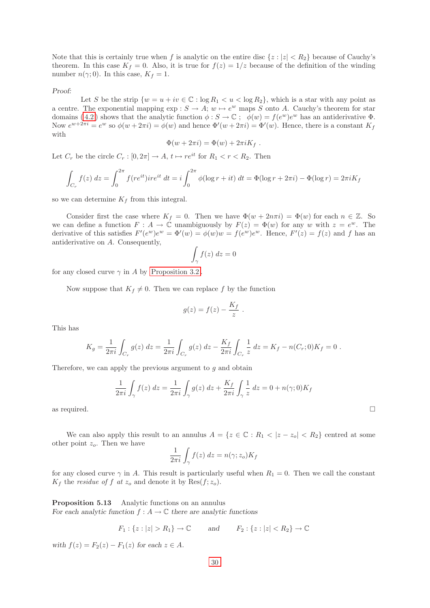Note that this is certainly true when f is analytic on the entire disc  $\{z : |z| < R_2\}$  because of Cauchy's theorem. In this case  $K_f = 0$ . Also, it is true for  $f(z) = 1/z$  because of the definition of the winding number  $n(\gamma; 0)$ . In this case,  $K_f = 1$ .

Proof:

Let S be the strip  $\{w = u + iv \in \mathbb{C} : \log R_1 < u < \log R_2\}$ , which is a star with any point as a centre. The exponential mapping  $\exp : S \to A$ ;  $w \mapsto e^w$  maps S onto A. Cauchy's theorem for star domains (4.2) shows that the analytic function  $\phi : S \to \mathbb{C}$ ;  $\phi(w) = f(e^w)e^w$  has an antiderivative  $\Phi$ . Now  $e^{w+2\pi i} = e^w$  so  $\phi(w+2\pi i) = \phi(w)$  and hence  $\Phi'(w+2\pi i) = \Phi'(w)$ . Hence, there is a constant  $K_f$ with

$$
\Phi(w + 2\pi i) = \Phi(w) + 2\pi i K_f.
$$

Let  $C_r$  be the circle  $C_r : [0, 2\pi] \to A$ ,  $t \mapsto re^{it}$  for  $R_1 < r < R_2$ . Then

$$
\int_{C_r} f(z) dz = \int_0^{2\pi} f(re^{it})ire^{it} dt = i \int_0^{2\pi} \phi(\log r + it) dt = \Phi(\log r + 2\pi i) - \Phi(\log r) = 2\pi i K_f
$$

so we can determine  $K_f$  from this integral.

Consider first the case where  $K_f = 0$ . Then we have  $\Phi(w + 2n\pi i) = \Phi(w)$  for each  $n \in \mathbb{Z}$ . So we can define a function  $F: A \to \mathbb{C}$  unambiguously by  $F(z) = \Phi(w)$  for any w with  $z = e^w$ . The derivative of this satisfies  $F'(e^w)e^w = \Phi'(w) = \phi(w)w = f(e^w)e^w$ . Hence,  $F'(z) = f(z)$  and f has an antiderivative on A. Consequently,

$$
\int_{\gamma} f(z) \ dz = 0
$$

for any closed curve  $\gamma$  in A by Proposition 3.2.

Now suppose that  $K_f \neq 0$ . Then we can replace f by the function

$$
g(z) = f(z) - \frac{K_f}{z} .
$$

This has

$$
K_g = \frac{1}{2\pi i} \int_{C_r} g(z) dz = \frac{1}{2\pi i} \int_{C_r} g(z) dz - \frac{K_f}{2\pi i} \int_{C_r} \frac{1}{z} dz = K_f - n(C_r; 0) K_f = 0.
$$

Therefore, we can apply the previous argument to  $q$  and obtain

$$
\frac{1}{2\pi i}\int_{\gamma}f(z)\,dz = \frac{1}{2\pi i}\int_{\gamma}g(z)\,dz + \frac{K_f}{2\pi i}\int_{\gamma}\frac{1}{z}\,dz = 0 + n(\gamma;0)K_f
$$
 as required.

<span id="page-32-0"></span>We can also apply this result to an annulus  $A = \{z \in \mathbb{C} : R_1 < |z - z_0| < R_2\}$  centred at some other point  $z_o$ . Then we have

$$
\frac{1}{2\pi i} \int_{\gamma} f(z) dz = n(\gamma; z_o) K_f
$$

for any closed curve  $\gamma$  in A. This result is particularly useful when  $R_1 = 0$ . Then we call the constant  $K_f$  the *residue of* f at  $z_o$  and denote it by Res $(f; z_o)$ .

<span id="page-32-1"></span>Proposition 5.13 Analytic functions on an annulus For each analytic function  $f : A \to \mathbb{C}$  there are analytic functions

$$
F_1: \{z : |z| > R_1\} \to \mathbb{C} \qquad \text{and} \qquad F_2: \{z : |z| < R_2\} \to \mathbb{C}
$$

with  $f(z) = F_2(z) - F_1(z)$  for each  $z \in A$ .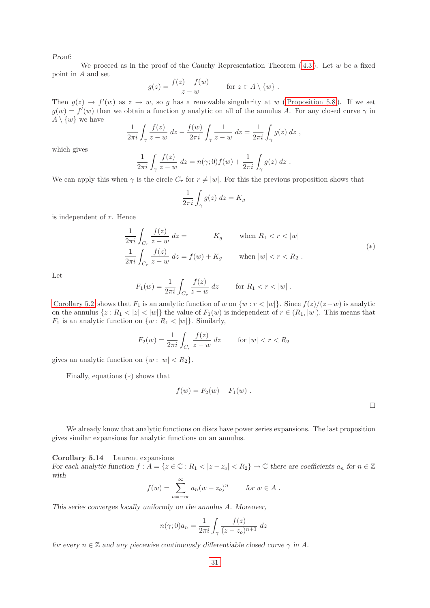We proceed as in the proof of the Cauchy Representation Theorem  $(4.3)$ . Let w be a fixed point in A and set

$$
g(z) = \frac{f(z) - f(w)}{z - w} \quad \text{for } z \in A \setminus \{w\} .
$$

Then  $g(z) \to f'(w)$  as  $z \to w$ , so g has a removable singularity at w (Proposition 5.8). If we set  $g(w) = f'(w)$  then we obtain a function g analytic on all of the annulus A. For any closed curve  $\gamma$  in  $A \setminus \{w\}$  we have

$$
\frac{1}{2\pi i} \int_{\gamma} \frac{f(z)}{z - w} dz - \frac{f(w)}{2\pi i} \int_{\gamma} \frac{1}{z - w} dz = \frac{1}{2\pi i} \int_{\gamma} g(z) dz,
$$

which gives

$$
\frac{1}{2\pi i} \int_{\gamma} \frac{f(z)}{z - w} dz = n(\gamma; 0) f(w) + \frac{1}{2\pi i} \int_{\gamma} g(z) dz.
$$

We can apply this when  $\gamma$  is the circle  $C_r$  for  $r \neq |w|$ . For this the previous proposition shows that

$$
\frac{1}{2\pi i} \int_{\gamma} g(z) \, dz = K_g
$$

is independent of  $r$ . Hence

$$
\frac{1}{2\pi i} \int_{C_r} \frac{f(z)}{z - w} dz = K_g \quad \text{when } R_1 < r < |w|
$$
\n
$$
\frac{1}{2\pi i} \int_{C_r} \frac{f(z)}{z - w} dz = f(w) + K_g \quad \text{when } |w| < r < R_2 .
$$
\n
$$
(*)
$$

Let

$$
F_1(w) = \frac{1}{2\pi i} \int_{C_r} \frac{f(z)}{z - w} dz \quad \text{for } R_1 < r < |w| \; .
$$

[Corollary 5.2](#page-24-3) shows that  $F_1$  is an analytic function of w on  $\{w : r < |w|\}$ . Since  $f(z)/(z-w)$  is analytic on the annulus  $\{z: R_1 < |z| < |w|\}$  the value of  $F_1(w)$  is independent of  $r \in (R_1, |w|)$ . This means that  $F_1$  is an analytic function on  $\{w : R_1 < |w|\}$ . Similarly,

$$
F_2(w) = \frac{1}{2\pi i} \int_{C_r} \frac{f(z)}{z - w} \, dz \qquad \text{for } |w| < r < R_2
$$

gives an analytic function on  $\{w : |w| < R_2\}.$ 

Finally, equations (∗) shows that

$$
f(w) = F_2(w) - F_1(w) .
$$

We already know that analytic functions on discs have power series expansions. The last proposition gives similar expansions for analytic functions on an annulus.

<span id="page-33-0"></span>Corollary 5.14 Laurent expansions For each analytic function  $f : A = \{z \in \mathbb{C} : R_1 < |z - z_0| < R_2\} \to \mathbb{C}$  there are coefficients  $a_n$  for  $n \in \mathbb{Z}$ with

$$
f(w) = \sum_{n = -\infty}^{\infty} a_n (w - z_o)^n \quad \text{for } w \in A.
$$

This series converges locally uniformly on the annulus A. Moreover,

$$
n(\gamma; 0)a_n = \frac{1}{2\pi i} \int_{\gamma} \frac{f(z)}{(z - z_o)^{n+1}} dz
$$

for every  $n \in \mathbb{Z}$  and any piecewise continuously differentiable closed curve  $\gamma$  in A.

 $\Box$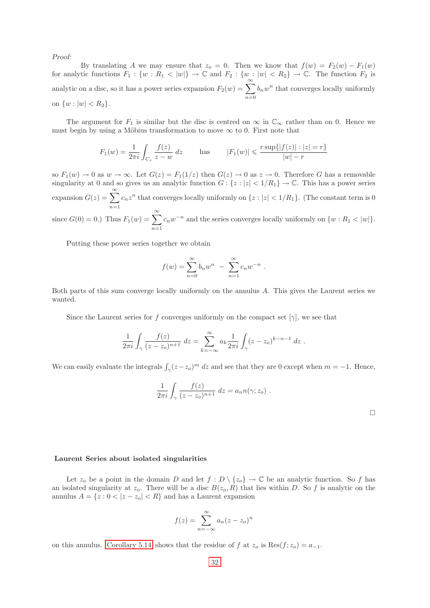By translating A we may ensure that  $z_0 = 0$ . Then we know that  $f(w) = F_2(w) - F_1(w)$ for analytic functions  $F_1: \{w: R_1 \lt |w|\} \to \mathbb{C}$  and  $F_2: \{w: |w| \lt R_2\} \to \mathbb{C}$ . The function  $F_2$  is analytic on a disc, so it has a power series expansion  $F_2(w) = \sum_{n=0}^{\infty}$  $n=0$  $b_nw^n$  that converges locally uniformly on  $\{w : |w| < R_2\}.$ 

The argument for  $F_1$  is similar but the disc is centred on  $\infty$  in  $\mathbb{C}_{\infty}$  rather than on 0. Hence we must begin by using a Möbius transformation to move  $\infty$  to 0. First note that

$$
F_1(w) = \frac{1}{2\pi i} \int_{C_r} \frac{f(z)}{z - w} dz \quad \text{has} \quad |F_1(w)| \leq \frac{r \sup\{|f(z)| : |z| = r\}}{|w| - r}
$$

so  $F_1(w) \to 0$  as  $w \to \infty$ . Let  $G(z) = F_1(1/z)$  then  $G(z) \to 0$  as  $z \to 0$ . Therefore G has a removable singularity at 0 and so gives us an analytic function  $G: \{z : |z| < 1/R_1\} \to \mathbb{C}$ . This has a power series expansion  $G(z) = \sum_{n=0}^{\infty}$  $n=1$  $c_n z^n$  that converges locally uniformly on  $\{z : |z| < 1/R_1\}$ . (The constant term is 0) since  $G(0) = 0.$ ) Thus  $F_1(w) = \sum_{n=0}^{\infty}$  $n=1$  $c_nw^{-n}$  and the series converges locally uniformly on  $\{w: R_1 \lt |w|\}.$ 

Putting these power series together we obtain

$$
f(w) = \sum_{n=0}^{\infty} b_n w^n - \sum_{n=1}^{\infty} c_n w^{-n} .
$$

Both parts of this sum converge locally uniformly on the annulus A. This gives the Laurent series we wanted.

Since the Laurent series for f converges uniformly on the compact set  $[\gamma]$ , we see that

$$
\frac{1}{2\pi i} \int_{\gamma} \frac{f(z)}{(z - z_o)^{n+1}} dz = \sum_{k=-\infty}^{\infty} a_k \frac{1}{2\pi i} \int_{\gamma} (z - z_o)^{k-n-1} dz.
$$

We can easily evaluate the integrals  $\int_{\gamma} (z-z_o)^m dz$  and see that they are 0 except when  $m = -1$ . Hence,

$$
\frac{1}{2\pi i} \int_{\gamma} \frac{f(z)}{(z - z_o)^{n+1}} dz = a_n n(\gamma; z_o) .
$$

#### <span id="page-34-0"></span>Laurent Series about isolated singularities

Let  $z_o$  be a point in the domain D and let  $f : D \setminus \{z_o\} \to \mathbb{C}$  be an analytic function. So f has an isolated singularity at  $z_o$ . There will be a disc  $B(z_o, R)$  that lies within D. So f is analytic on the annulus  $A = \{z : 0 < |z - z_0| < R\}$  and has a Laurent expansion

$$
f(z) = \sum_{n = -\infty}^{\infty} a_n (z - z_o)^n
$$

<span id="page-34-1"></span>on this annulus. [Corollary 5.14](#page-33-0) shows that the residue of f at  $z_o$  is Res $(f; z_o) = a_{-1}$ .